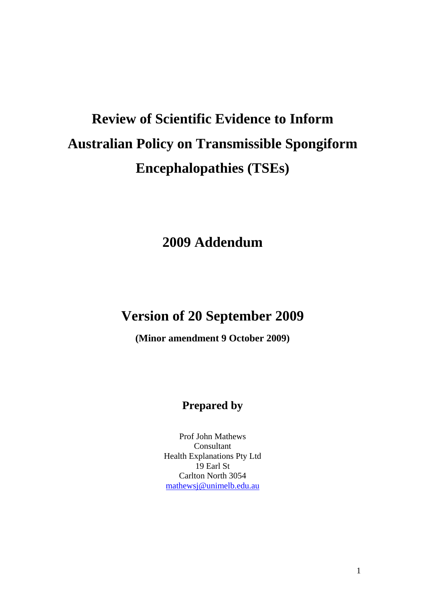# **Review of Scientific Evidence to Inform Australian Policy on Transmissible Spongiform Encephalopathies (TSEs)**

# **2009 Addendum**

# **Version of 20 September 2009**

**(Minor amendment 9 October 2009)** 

# **Prepared by**

Prof John Mathews Consultant Health Explanations Pty Ltd 19 Earl St Carlton North 3054 mathewsj@unimelb.edu.au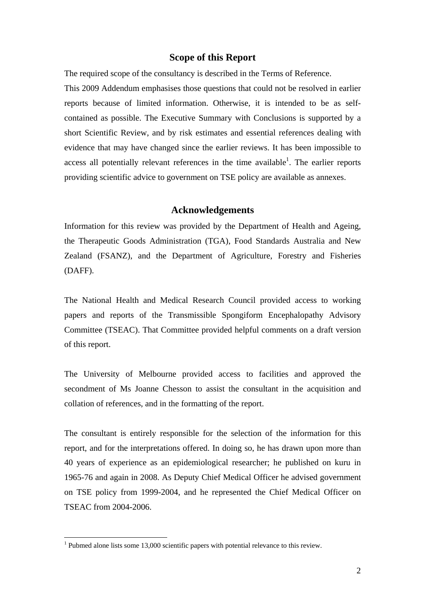#### **Scope of this Report**

The required scope of the consultancy is described in the Terms of Reference.

This 2009 Addendum emphasises those questions that could not be resolved in earlier reports because of limited information. Otherwise, it is intended to be as selfcontained as possible. The Executive Summary with Conclusions is supported by a short Scientific Review, and by risk estimates and essential references dealing with evidence that may have changed since the earlier reviews. It has been impossible to access all potentially relevant references in the time available<sup>1</sup>. The earlier reports providing scientific advice to government on TSE policy are available as annexes.

#### **Acknowledgements**

Information for this review was provided by the Department of Health and Ageing, the Therapeutic Goods Administration (TGA), Food Standards Australia and New Zealand (FSANZ), and the Department of Agriculture, Forestry and Fisheries (DAFF).

The National Health and Medical Research Council provided access to working papers and reports of the Transmissible Spongiform Encephalopathy Advisory Committee (TSEAC). That Committee provided helpful comments on a draft version of this report.

The University of Melbourne provided access to facilities and approved the secondment of Ms Joanne Chesson to assist the consultant in the acquisition and collation of references, and in the formatting of the report.

The consultant is entirely responsible for the selection of the information for this report, and for the interpretations offered. In doing so, he has drawn upon more than 40 years of experience as an epidemiological researcher; he published on kuru in 1965-76 and again in 2008. As Deputy Chief Medical Officer he advised government on TSE policy from 1999-2004, and he represented the Chief Medical Officer on TSEAC from 2004-2006.

<sup>&</sup>lt;sup>1</sup> Pubmed alone lists some 13,000 scientific papers with potential relevance to this review.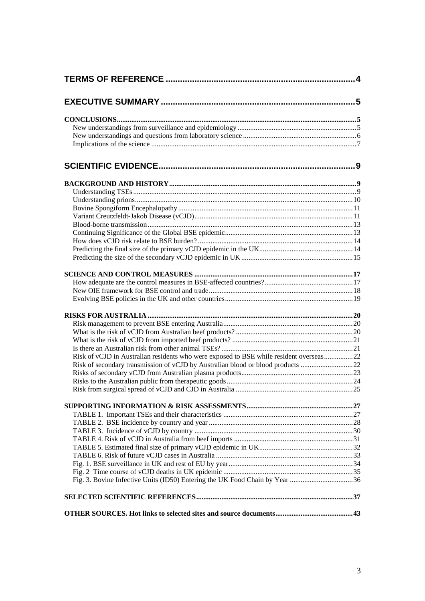| Risk of vCJD in Australian residents who were exposed to BSE while resident overseas 22 |  |  |  |  |  |  |
|-----------------------------------------------------------------------------------------|--|--|--|--|--|--|
| Risk of secondary transmission of vCJD by Australian blood or blood products 22         |  |  |  |  |  |  |
|                                                                                         |  |  |  |  |  |  |
|                                                                                         |  |  |  |  |  |  |
|                                                                                         |  |  |  |  |  |  |
|                                                                                         |  |  |  |  |  |  |
|                                                                                         |  |  |  |  |  |  |
|                                                                                         |  |  |  |  |  |  |
|                                                                                         |  |  |  |  |  |  |
|                                                                                         |  |  |  |  |  |  |
|                                                                                         |  |  |  |  |  |  |
|                                                                                         |  |  |  |  |  |  |
|                                                                                         |  |  |  |  |  |  |
|                                                                                         |  |  |  |  |  |  |
| Fig. 3. Bovine Infective Units (ID50) Entering the UK Food Chain by Year 36             |  |  |  |  |  |  |
|                                                                                         |  |  |  |  |  |  |
|                                                                                         |  |  |  |  |  |  |
|                                                                                         |  |  |  |  |  |  |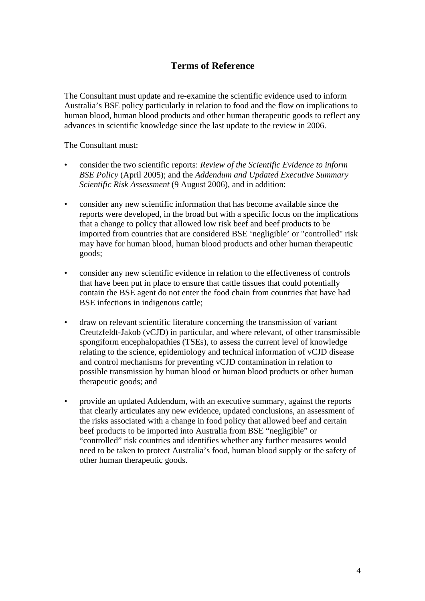# **Terms of Reference**

The Consultant must update and re-examine the scientific evidence used to inform Australia's BSE policy particularly in relation to food and the flow on implications to human blood, human blood products and other human therapeutic goods to reflect any advances in scientific knowledge since the last update to the review in 2006.

The Consultant must:

- consider the two scientific reports: *Review of the Scientific Evidence to inform BSE Policy* (April 2005); and the *Addendum and Updated Executive Summary Scientific Risk Assessment* (9 August 2006), and in addition:
- consider any new scientific information that has become available since the reports were developed, in the broad but with a specific focus on the implications that a change to policy that allowed low risk beef and beef products to be imported from countries that are considered BSE 'negligible' or "controlled" risk may have for human blood, human blood products and other human therapeutic goods;
- consider any new scientific evidence in relation to the effectiveness of controls that have been put in place to ensure that cattle tissues that could potentially contain the BSE agent do not enter the food chain from countries that have had BSE infections in indigenous cattle;
- draw on relevant scientific literature concerning the transmission of variant Creutzfeldt-Jakob (vCJD) in particular, and where relevant, of other transmissible spongiform encephalopathies (TSEs), to assess the current level of knowledge relating to the science, epidemiology and technical information of vCJD disease and control mechanisms for preventing vCJD contamination in relation to possible transmission by human blood or human blood products or other human therapeutic goods; and
- provide an updated Addendum, with an executive summary, against the reports that clearly articulates any new evidence, updated conclusions, an assessment of the risks associated with a change in food policy that allowed beef and certain beef products to be imported into Australia from BSE "negligible" or "controlled" risk countries and identifies whether any further measures would need to be taken to protect Australia's food, human blood supply or the safety of other human therapeutic goods.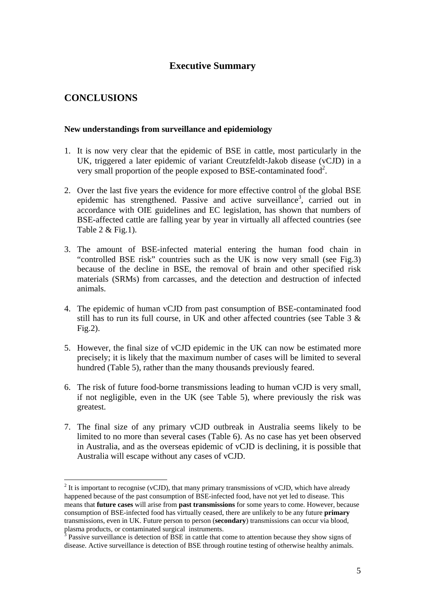# **Executive Summary**

# **CONCLUSIONS**

 $\overline{a}$ 

#### **New understandings from surveillance and epidemiology**

- 1. It is now very clear that the epidemic of BSE in cattle, most particularly in the UK, triggered a later epidemic of variant Creutzfeldt-Jakob disease (vCJD) in a very small proportion of the people exposed to BSE-contaminated food<sup>2</sup>.
- 2. Over the last five years the evidence for more effective control of the global BSE epidemic has strengthened. Passive and active surveillance<sup>3</sup>, carried out in accordance with OIE guidelines and EC legislation, has shown that numbers of BSE-affected cattle are falling year by year in virtually all affected countries (see Table  $2 & Fig.1$ ).
- 3. The amount of BSE-infected material entering the human food chain in "controlled BSE risk" countries such as the UK is now very small (see Fig.3) because of the decline in BSE, the removal of brain and other specified risk materials (SRMs) from carcasses, and the detection and destruction of infected animals.
- 4. The epidemic of human vCJD from past consumption of BSE-contaminated food still has to run its full course, in UK and other affected countries (see Table  $3 \&$ Fig.2).
- 5. However, the final size of vCJD epidemic in the UK can now be estimated more precisely; it is likely that the maximum number of cases will be limited to several hundred (Table 5), rather than the many thousands previously feared.
- 6. The risk of future food-borne transmissions leading to human vCJD is very small, if not negligible, even in the UK (see Table 5), where previously the risk was greatest.
- 7. The final size of any primary vCJD outbreak in Australia seems likely to be limited to no more than several cases (Table 6). As no case has yet been observed in Australia, and as the overseas epidemic of vCJD is declining, it is possible that Australia will escape without any cases of vCJD.

 $2<sup>2</sup>$  It is important to recognise (vCJD), that many primary transmissions of vCJD, which have already happened because of the past consumption of BSE-infected food, have not yet led to disease. This means that **future cases** will arise from **past transmissions** for some years to come. However, because consumption of BSE-infected food has virtually ceased, there are unlikely to be any future **primary** transmissions, even in UK. Future person to person (**secondary**) transmissions can occur via blood, plasma products, or contaminated surgical instruments.

Passive surveillance is detection of BSE in cattle that come to attention because they show signs of disease. Active surveillance is detection of BSE through routine testing of otherwise healthy animals.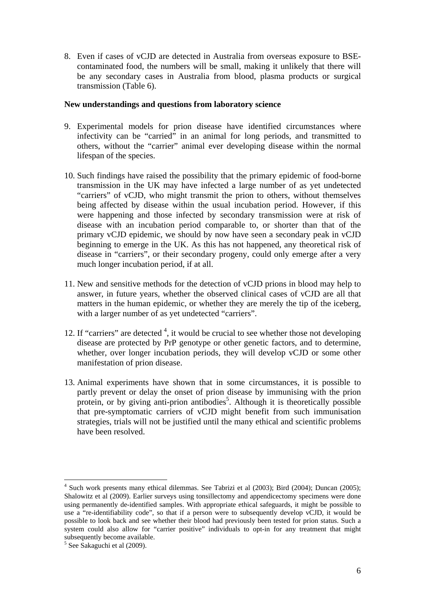8. Even if cases of vCJD are detected in Australia from overseas exposure to BSEcontaminated food, the numbers will be small, making it unlikely that there will be any secondary cases in Australia from blood, plasma products or surgical transmission (Table 6).

#### **New understandings and questions from laboratory science**

- 9. Experimental models for prion disease have identified circumstances where infectivity can be "carried" in an animal for long periods, and transmitted to others, without the "carrier" animal ever developing disease within the normal lifespan of the species.
- 10. Such findings have raised the possibility that the primary epidemic of food-borne transmission in the UK may have infected a large number of as yet undetected "carriers" of vCJD, who might transmit the prion to others, without themselves being affected by disease within the usual incubation period. However, if this were happening and those infected by secondary transmission were at risk of disease with an incubation period comparable to, or shorter than that of the primary vCJD epidemic, we should by now have seen a secondary peak in vCJD beginning to emerge in the UK. As this has not happened, any theoretical risk of disease in "carriers", or their secondary progeny, could only emerge after a very much longer incubation period, if at all.
- 11. New and sensitive methods for the detection of vCJD prions in blood may help to answer, in future years, whether the observed clinical cases of vCJD are all that matters in the human epidemic, or whether they are merely the tip of the iceberg, with a larger number of as yet undetected "carriers".
- 12. If "carriers" are detected  $4$ , it would be crucial to see whether those not developing disease are protected by PrP genotype or other genetic factors, and to determine, whether, over longer incubation periods, they will develop vCJD or some other manifestation of prion disease.
- 13. Animal experiments have shown that in some circumstances, it is possible to partly prevent or delay the onset of prion disease by immunising with the prion protein, or by giving anti-prion antibodies<sup>5</sup>. Although it is theoretically possible that pre-symptomatic carriers of vCJD might benefit from such immunisation strategies, trials will not be justified until the many ethical and scientific problems have been resolved.

 $\overline{a}$ <sup>4</sup> Such work presents many ethical dilemmas. See Tabrizi et al (2003); Bird (2004); Duncan (2005); Shalowitz et al (2009). Earlier surveys using tonsillectomy and appendicectomy specimens were done using permanently de-identified samples. With appropriate ethical safeguards, it might be possible to use a "re-identifiability code", so that if a person were to subsequently develop vCJD, it would be possible to look back and see whether their blood had previously been tested for prion status. Such a system could also allow for "carrier positive" individuals to opt-in for any treatment that might subsequently become available.

<sup>5</sup> See Sakaguchi et al (2009).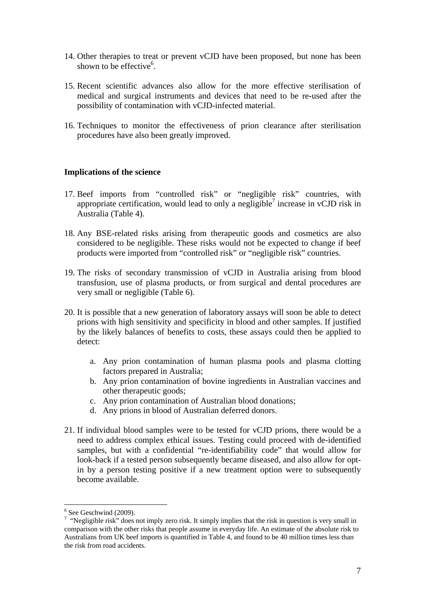- 14. Other therapies to treat or prevent vCJD have been proposed, but none has been shown to be effective<sup>6</sup>.
- 15. Recent scientific advances also allow for the more effective sterilisation of medical and surgical instruments and devices that need to be re-used after the possibility of contamination with vCJD-infected material.
- 16. Techniques to monitor the effectiveness of prion clearance after sterilisation procedures have also been greatly improved.

#### **Implications of the science**

- 17. Beef imports from "controlled risk" or "negligible risk" countries, with appropriate certification, would lead to only a negligible<sup>7</sup> increase in vCJD risk in Australia (Table 4).
- 18. Any BSE-related risks arising from therapeutic goods and cosmetics are also considered to be negligible. These risks would not be expected to change if beef products were imported from "controlled risk" or "negligible risk" countries.
- 19. The risks of secondary transmission of vCJD in Australia arising from blood transfusion, use of plasma products, or from surgical and dental procedures are very small or negligible (Table 6).
- 20. It is possible that a new generation of laboratory assays will soon be able to detect prions with high sensitivity and specificity in blood and other samples. If justified by the likely balances of benefits to costs, these assays could then be applied to detect:
	- a. Any prion contamination of human plasma pools and plasma clotting factors prepared in Australia;
	- b. Any prion contamination of bovine ingredients in Australian vaccines and other therapeutic goods;
	- c. Any prion contamination of Australian blood donations;
	- d. Any prions in blood of Australian deferred donors.
- 21. If individual blood samples were to be tested for vCJD prions, there would be a need to address complex ethical issues. Testing could proceed with de-identified samples, but with a confidential "re-identifiability code" that would allow for look-back if a tested person subsequently became diseased, and also allow for optin by a person testing positive if a new treatment option were to subsequently become available.

 $6$  See Geschwind (2009).

<sup>&</sup>lt;sup>7</sup> "Negligible risk" does not imply zero risk. It simply implies that the risk in question is very small in comparison with the other risks that people assume in everyday life. An estimate of the absolute risk to Australians from UK beef imports is quantified in Table 4, and found to be 40 million times less than the risk from road accidents.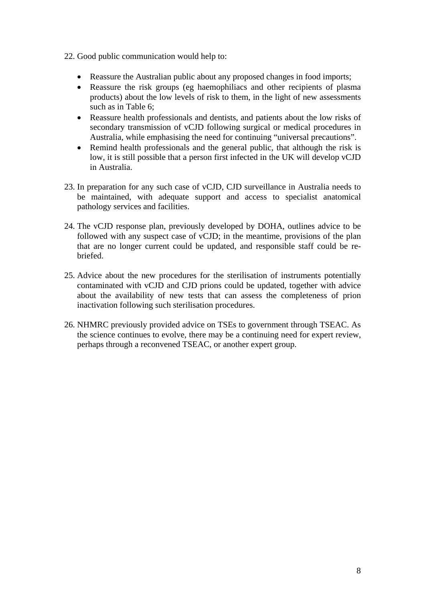- 22. Good public communication would help to:
	- Reassure the Australian public about any proposed changes in food imports;
	- Reassure the risk groups (eg haemophiliacs and other recipients of plasma products) about the low levels of risk to them, in the light of new assessments such as in Table 6;
	- Reassure health professionals and dentists, and patients about the low risks of secondary transmission of vCJD following surgical or medical procedures in Australia, while emphasising the need for continuing "universal precautions".
	- Remind health professionals and the general public, that although the risk is low, it is still possible that a person first infected in the UK will develop vCJD in Australia.
- 23. In preparation for any such case of vCJD, CJD surveillance in Australia needs to be maintained, with adequate support and access to specialist anatomical pathology services and facilities.
- 24. The vCJD response plan, previously developed by DOHA, outlines advice to be followed with any suspect case of vCJD; in the meantime, provisions of the plan that are no longer current could be updated, and responsible staff could be rebriefed.
- 25. Advice about the new procedures for the sterilisation of instruments potentially contaminated with vCJD and CJD prions could be updated, together with advice about the availability of new tests that can assess the completeness of prion inactivation following such sterilisation procedures.
- 26. NHMRC previously provided advice on TSEs to government through TSEAC. As the science continues to evolve, there may be a continuing need for expert review, perhaps through a reconvened TSEAC, or another expert group.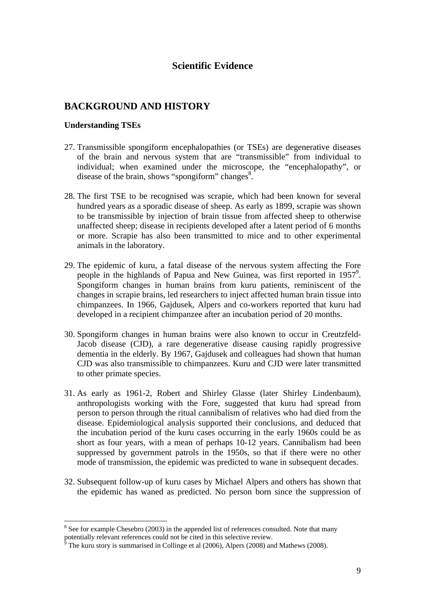### **Scientific Evidence**

# **BACKGROUND AND HISTORY**

#### **Understanding TSEs**

- 27. Transmissible spongiform encephalopathies (or TSEs) are degenerative diseases of the brain and nervous system that are "transmissible" from individual to individual; when examined under the microscope, the "encephalopathy", or disease of the brain, shows "spongiform" changes<sup>8</sup>.
- 28. The first TSE to be recognised was scrapie, which had been known for several hundred years as a sporadic disease of sheep. As early as 1899, scrapie was shown to be transmissible by injection of brain tissue from affected sheep to otherwise unaffected sheep; disease in recipients developed after a latent period of 6 months or more. Scrapie has also been transmitted to mice and to other experimental animals in the laboratory.
- 29. The epidemic of kuru, a fatal disease of the nervous system affecting the Fore people in the highlands of Papua and New Guinea, was first reported in 1957<sup>9</sup>. Spongiform changes in human brains from kuru patients, reminiscent of the changes in scrapie brains, led researchers to inject affected human brain tissue into chimpanzees. In 1966, Gajdusek, Alpers and co-workers reported that kuru had developed in a recipient chimpanzee after an incubation period of 20 months.
- 30. Spongiform changes in human brains were also known to occur in Creutzfeld-Jacob disease (CJD), a rare degenerative disease causing rapidly progressive dementia in the elderly. By 1967, Gajdusek and colleagues had shown that human CJD was also transmissible to chimpanzees. Kuru and CJD were later transmitted to other primate species.
- 31. As early as 1961-2, Robert and Shirley Glasse (later Shirley Lindenbaum), anthropologists working with the Fore, suggested that kuru had spread from person to person through the ritual cannibalism of relatives who had died from the disease. Epidemiological analysis supported their conclusions, and deduced that the incubation period of the kuru cases occurring in the early 1960s could be as short as four years, with a mean of perhaps 10-12 years. Cannibalism had been suppressed by government patrols in the 1950s, so that if there were no other mode of transmission, the epidemic was predicted to wane in subsequent decades.
- 32. Subsequent follow-up of kuru cases by Michael Alpers and others has shown that the epidemic has waned as predicted. No person born since the suppression of

 $8$  See for example Chesebro (2003) in the appended list of references consulted. Note that many potentially relevant references could not be cited in this selective review.

The kuru story is summarised in Collinge et al (2006), Alpers (2008) and Mathews (2008).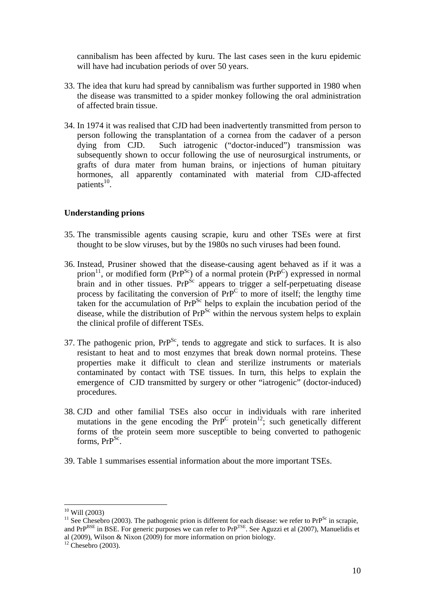cannibalism has been affected by kuru. The last cases seen in the kuru epidemic will have had incubation periods of over 50 years.

- 33. The idea that kuru had spread by cannibalism was further supported in 1980 when the disease was transmitted to a spider monkey following the oral administration of affected brain tissue.
- 34. In 1974 it was realised that CJD had been inadvertently transmitted from person to person following the transplantation of a cornea from the cadaver of a person dying from CJD. Such iatrogenic ("doctor-induced") transmission was subsequently shown to occur following the use of neurosurgical instruments, or grafts of dura mater from human brains, or injections of human pituitary hormones, all apparently contaminated with material from CJD-affected patients $^{10}$ .

#### **Understanding prions**

- 35. The transmissible agents causing scrapie, kuru and other TSEs were at first thought to be slow viruses, but by the 1980s no such viruses had been found.
- 36. Instead, Prusiner showed that the disease-causing agent behaved as if it was a prion<sup>11</sup>, or modified form (PrP<sup>Sc</sup>) of a normal protein (PrP<sup>C</sup>) expressed in normal brain and in other tissues. Pr $P^{Sc}$  appears to trigger a self-perpetuating disease process by facilitating the conversion of  $Pr^{p}$  to more of itself; the lengthy time taken for the accumulation of  $PrP^{Sc}$  helps to explain the incubation period of the disease, while the distribution of  $PrP^{Sc}$  within the nervous system helps to explain the clinical profile of different TSEs.
- 37. The pathogenic prion,  $Pr^{Sc}$ , tends to aggregate and stick to surfaces. It is also resistant to heat and to most enzymes that break down normal proteins. These properties make it difficult to clean and sterilize instruments or materials contaminated by contact with TSE tissues. In turn, this helps to explain the emergence of CJD transmitted by surgery or other "iatrogenic" (doctor-induced) procedures.
- 38. CJD and other familial TSEs also occur in individuals with rare inherited mutations in the gene encoding the  $PrP^C$  protein<sup>12</sup>; such genetically different forms of the protein seem more susceptible to being converted to pathogenic forms,  $PrP^{Sc}$ .
- 39. Table 1 summarises essential information about the more important TSEs.

 $10$  Will (2003)

<sup>&</sup>lt;sup>11</sup> See Chesebro (2003). The pathogenic prion is different for each disease: we refer to PrP<sup>Sc</sup> in scrapie, and PrP<sup>BSE</sup> in BSE. For generic purposes we can refer to PrP<sup>TSE</sup>. See Aguzzi et al (2007), Manuelidis et al (2009), Wilson & Nixon (2009) for more information on prion biology.

 $12$  Chesebro (2003).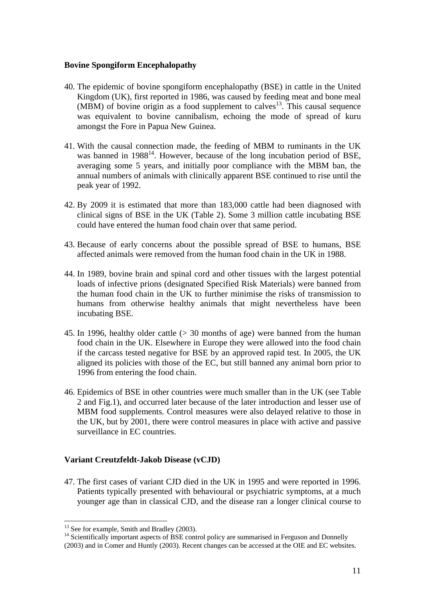#### **Bovine Spongiform Encephalopathy**

- 40. The epidemic of bovine spongiform encephalopathy (BSE) in cattle in the United Kingdom (UK), first reported in 1986, was caused by feeding meat and bone meal  $(MBM)$  of bovine origin as a food supplement to calves<sup>13</sup>. This causal sequence was equivalent to bovine cannibalism, echoing the mode of spread of kuru amongst the Fore in Papua New Guinea.
- 41. With the causal connection made, the feeding of MBM to ruminants in the UK was banned in  $1988^{14}$ . However, because of the long incubation period of BSE, averaging some 5 years, and initially poor compliance with the MBM ban, the annual numbers of animals with clinically apparent BSE continued to rise until the peak year of 1992.
- 42. By 2009 it is estimated that more than 183,000 cattle had been diagnosed with clinical signs of BSE in the UK (Table 2). Some 3 million cattle incubating BSE could have entered the human food chain over that same period.
- 43. Because of early concerns about the possible spread of BSE to humans, BSE affected animals were removed from the human food chain in the UK in 1988.
- 44. In 1989, bovine brain and spinal cord and other tissues with the largest potential loads of infective prions (designated Specified Risk Materials) were banned from the human food chain in the UK to further minimise the risks of transmission to humans from otherwise healthy animals that might nevertheless have been incubating BSE.
- 45. In 1996, healthy older cattle (> 30 months of age) were banned from the human food chain in the UK. Elsewhere in Europe they were allowed into the food chain if the carcass tested negative for BSE by an approved rapid test. In 2005, the UK aligned its policies with those of the EC, but still banned any animal born prior to 1996 from entering the food chain.
- 46. Epidemics of BSE in other countries were much smaller than in the UK (see Table 2 and Fig.1), and occurred later because of the later introduction and lesser use of MBM food supplements. Control measures were also delayed relative to those in the UK, but by 2001, there were control measures in place with active and passive surveillance in EC countries.

#### **Variant Creutzfeldt-Jakob Disease (vCJD)**

47. The first cases of variant CJD died in the UK in 1995 and were reported in 1996. Patients typically presented with behavioural or psychiatric symptoms, at a much younger age than in classical CJD, and the disease ran a longer clinical course to

 $13$  See for example, Smith and Bradley (2003).<br><sup>14</sup> Scientifically important aspects of BSE control policy are summarised in Ferguson and Donnelly

<sup>(2003)</sup> and in Comer and Huntly (2003). Recent changes can be accessed at the OIE and EC websites.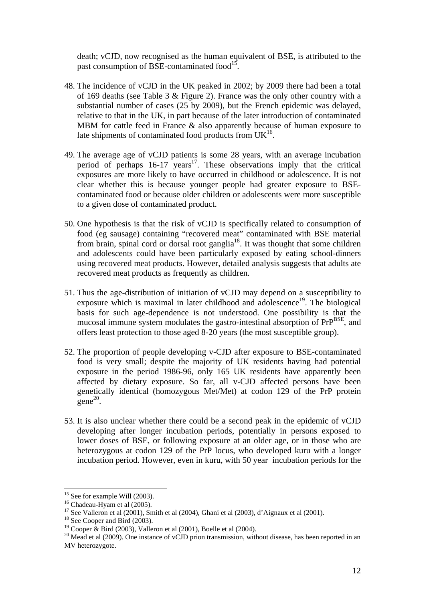death; vCJD, now recognised as the human equivalent of BSE, is attributed to the past consumption of BSE-contaminated food<sup>15</sup>.

- 48. The incidence of vCJD in the UK peaked in 2002; by 2009 there had been a total of 169 deaths (see Table 3 & Figure 2). France was the only other country with a substantial number of cases (25 by 2009), but the French epidemic was delayed, relative to that in the UK, in part because of the later introduction of contaminated MBM for cattle feed in France & also apparently because of human exposure to late shipments of contaminated food products from  $UK<sup>16</sup>$ .
- 49. The average age of vCJD patients is some 28 years, with an average incubation period of perhaps  $16-17$  years<sup>17</sup>. These observations imply that the critical exposures are more likely to have occurred in childhood or adolescence. It is not clear whether this is because younger people had greater exposure to BSEcontaminated food or because older children or adolescents were more susceptible to a given dose of contaminated product.
- 50. One hypothesis is that the risk of vCJD is specifically related to consumption of food (eg sausage) containing "recovered meat" contaminated with BSE material from brain, spinal cord or dorsal root ganglia<sup>18</sup>. It was thought that some children and adolescents could have been particularly exposed by eating school-dinners using recovered meat products. However, detailed analysis suggests that adults ate recovered meat products as frequently as children.
- 51. Thus the age-distribution of initiation of vCJD may depend on a susceptibility to exposure which is maximal in later childhood and adolescence<sup>19</sup>. The biological basis for such age-dependence is not understood. One possibility is that the mucosal immune system modulates the gastro-intestinal absorption of PrP<sup>BSE</sup>, and offers least protection to those aged 8-20 years (the most susceptible group).
- 52. The proportion of people developing v-CJD after exposure to BSE-contaminated food is very small; despite the majority of UK residents having had potential exposure in the period 1986-96, only 165 UK residents have apparently been affected by dietary exposure. So far, all v-CJD affected persons have been genetically identical (homozygous Met/Met) at codon 129 of the PrP protein  $\text{gene}^{20}$ .
- 53. It is also unclear whether there could be a second peak in the epidemic of vCJD developing after longer incubation periods, potentially in persons exposed to lower doses of BSE, or following exposure at an older age, or in those who are heterozygous at codon 129 of the PrP locus, who developed kuru with a longer incubation period. However, even in kuru, with 50 year incubation periods for the

<sup>&</sup>lt;sup>15</sup> See for example Will (2003).

<sup>&</sup>lt;sup>16</sup> Chadeau-Hyam et al (2005).

<sup>&</sup>lt;sup>17</sup> See Valleron et al (2001), Smith et al (2004), Ghani et al (2003), d'Aignaux et al (2001).

<sup>&</sup>lt;sup>18</sup> See Cooper and Bird (2003).

<sup>&</sup>lt;sup>19</sup> Cooper & Bird (2003), Valleron et al (2001), Boelle et al (2004).

<sup>&</sup>lt;sup>20</sup> Mead et al (2009). One instance of vCJD prion transmission, without disease, has been reported in an MV heterozygote.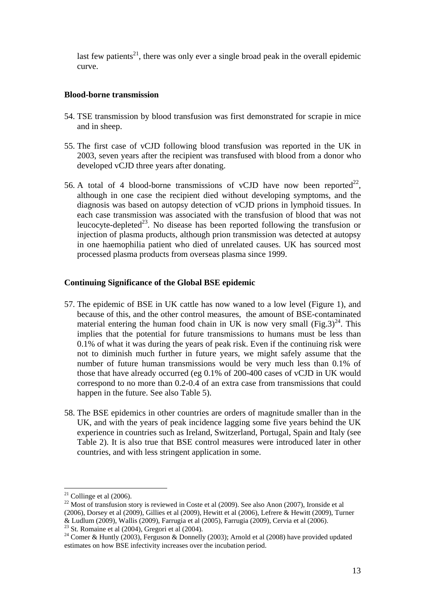last few patients<sup>21</sup>, there was only ever a single broad peak in the overall epidemic curve.

#### **Blood-borne transmission**

- 54. TSE transmission by blood transfusion was first demonstrated for scrapie in mice and in sheep.
- 55. The first case of vCJD following blood transfusion was reported in the UK in 2003, seven years after the recipient was transfused with blood from a donor who developed vCJD three years after donating.
- 56. A total of 4 blood-borne transmissions of vCJD have now been reported<sup>22</sup>, although in one case the recipient died without developing symptoms, and the diagnosis was based on autopsy detection of vCJD prions in lymphoid tissues. In each case transmission was associated with the transfusion of blood that was not leucocyte-depleted<sup>23</sup>. No disease has been reported following the transfusion or injection of plasma products, although prion transmission was detected at autopsy in one haemophilia patient who died of unrelated causes. UK has sourced most processed plasma products from overseas plasma since 1999.

#### **Continuing Significance of the Global BSE epidemic**

- 57. The epidemic of BSE in UK cattle has now waned to a low level (Figure 1), and because of this, and the other control measures, the amount of BSE-contaminated material entering the human food chain in UK is now very small (Fig.3)<sup>24</sup>. This implies that the potential for future transmissions to humans must be less than 0.1% of what it was during the years of peak risk. Even if the continuing risk were not to diminish much further in future years, we might safely assume that the number of future human transmissions would be very much less than 0.1% of those that have already occurred (eg 0.1% of 200-400 cases of vCJD in UK would correspond to no more than 0.2-0.4 of an extra case from transmissions that could happen in the future. See also Table 5).
- 58. The BSE epidemics in other countries are orders of magnitude smaller than in the UK, and with the years of peak incidence lagging some five years behind the UK experience in countries such as Ireland, Switzerland, Portugal, Spain and Italy (see Table 2). It is also true that BSE control measures were introduced later in other countries, and with less stringent application in some.

 $21$  Collinge et al (2006).

 $22$  Most of transfusion story is reviewed in Coste et al (2009). See also Anon (2007), Ironside et al (2006), Dorsey et al (2009), Gillies et al (2009), Hewitt et al (2006), Lefrere & Hewitt (2009), Turner & Ludlum (2009), Wallis (2009), Farrugia et al (2005), Farrugia (2009), Cervia et al (2006). 23 St. Romaine et al (2004), Gregori et al (2004).

<sup>&</sup>lt;sup>24</sup> Comer & Huntly (2003), Ferguson & Donnelly (2003); Arnold et al (2008) have provided updated estimates on how BSE infectivity increases over the incubation period.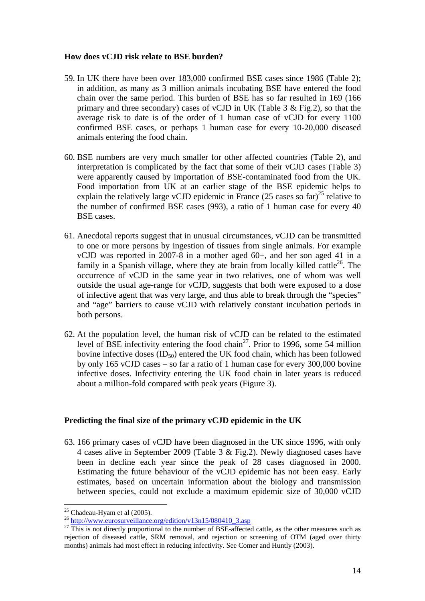#### **How does vCJD risk relate to BSE burden?**

- 59. In UK there have been over 183,000 confirmed BSE cases since 1986 (Table 2); in addition, as many as 3 million animals incubating BSE have entered the food chain over the same period. This burden of BSE has so far resulted in 169 (166 primary and three secondary) cases of vCJD in UK (Table 3  $\&$  Fig.2), so that the average risk to date is of the order of 1 human case of vCJD for every 1100 confirmed BSE cases, or perhaps 1 human case for every 10-20,000 diseased animals entering the food chain.
- 60. BSE numbers are very much smaller for other affected countries (Table 2), and interpretation is complicated by the fact that some of their vCJD cases (Table 3) were apparently caused by importation of BSE-contaminated food from the UK. Food importation from UK at an earlier stage of the BSE epidemic helps to explain the relatively large vCJD epidemic in France  $(25 \text{ cases so far})^{25}$  relative to the number of confirmed BSE cases (993), a ratio of 1 human case for every 40 BSE cases.
- 61. Anecdotal reports suggest that in unusual circumstances, vCJD can be transmitted to one or more persons by ingestion of tissues from single animals. For example vCJD was reported in 2007-8 in a mother aged 60+, and her son aged 41 in a family in a Spanish village, where they ate brain from locally killed cattle<sup>26</sup>. The occurrence of vCJD in the same year in two relatives, one of whom was well outside the usual age-range for vCJD, suggests that both were exposed to a dose of infective agent that was very large, and thus able to break through the "species" and "age" barriers to cause vCJD with relatively constant incubation periods in both persons.
- 62. At the population level, the human risk of vCJD can be related to the estimated level of BSE infectivity entering the food chain<sup>27</sup>. Prior to 1996, some 54 million bovine infective doses  $(ID_{50})$  entered the UK food chain, which has been followed by only 165 vCJD cases – so far a ratio of 1 human case for every 300,000 bovine infective doses. Infectivity entering the UK food chain in later years is reduced about a million-fold compared with peak years (Figure 3).

#### **Predicting the final size of the primary vCJD epidemic in the UK**

63. 166 primary cases of vCJD have been diagnosed in the UK since 1996, with only 4 cases alive in September 2009 (Table 3 & Fig.2). Newly diagnosed cases have been in decline each year since the peak of 28 cases diagnosed in 2000. Estimating the future behaviour of the vCJD epidemic has not been easy. Early estimates, based on uncertain information about the biology and transmission between species, could not exclude a maximum epidemic size of 30,000 vCJD

 $25$  Chadeau-Hyam et al (2005).

<sup>&</sup>lt;sup>26</sup> http://www.eurosurveillance.org/edition/v13n15/080410\_3.asp <sup>27</sup> This is not directly proportional to the number of BSE-affected cattle, as the other measures such as rejection of diseased cattle, SRM removal, and rejection or screening of OTM (aged over thirty months) animals had most effect in reducing infectivity. See Comer and Huntly (2003).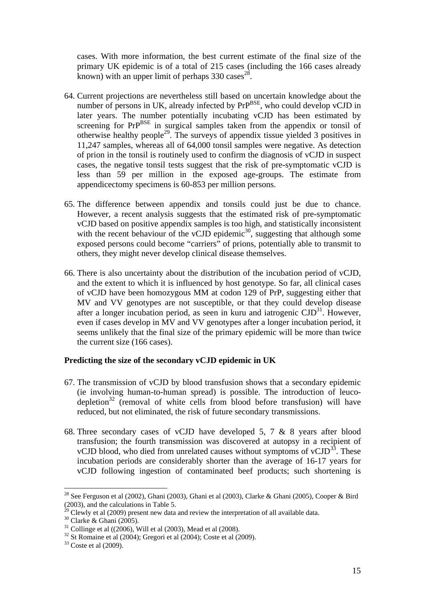cases. With more information, the best current estimate of the final size of the primary UK epidemic is of a total of 215 cases (including the 166 cases already known) with an upper limit of perhaps  $330 \text{ cases}^{28}$ .

- 64. Current projections are nevertheless still based on uncertain knowledge about the number of persons in UK, already infected by  $PrP<sup>BSE</sup>$ , who could develop vCJD in later years. The number potentially incubating vCJD has been estimated by screening for  $PrP<sup>BSE</sup>$  in surgical samples taken from the appendix or tonsil of otherwise healthy people<sup>29</sup>. The surveys of appendix tissue yielded 3 positives in 11,247 samples, whereas all of 64,000 tonsil samples were negative. As detection of prion in the tonsil is routinely used to confirm the diagnosis of vCJD in suspect cases, the negative tonsil tests suggest that the risk of pre-symptomatic vCJD is less than 59 per million in the exposed age-groups. The estimate from appendicectomy specimens is 60-853 per million persons.
- 65. The difference between appendix and tonsils could just be due to chance. However, a recent analysis suggests that the estimated risk of pre-symptomatic vCJD based on positive appendix samples is too high, and statistically inconsistent with the recent behaviour of the vCJD epidemic<sup>30</sup>, suggesting that although some exposed persons could become "carriers" of prions, potentially able to transmit to others, they might never develop clinical disease themselves.
- 66. There is also uncertainty about the distribution of the incubation period of vCJD, and the extent to which it is influenced by host genotype. So far, all clinical cases of vCJD have been homozygous MM at codon 129 of PrP, suggesting either that MV and VV genotypes are not susceptible, or that they could develop disease after a longer incubation period, as seen in kuru and iatrogenic  $\text{CID}^{31}$ . However, even if cases develop in MV and VV genotypes after a longer incubation period, it seems unlikely that the final size of the primary epidemic will be more than twice the current size (166 cases).

#### **Predicting the size of the secondary vCJD epidemic in UK**

- 67. The transmission of vCJD by blood transfusion shows that a secondary epidemic (ie involving human-to-human spread) is possible. The introduction of leucodepletion<sup>32</sup> (removal of white cells from blood before transfusion) will have reduced, but not eliminated, the risk of future secondary transmissions.
- 68. Three secondary cases of vCJD have developed 5, 7 & 8 years after blood transfusion; the fourth transmission was discovered at autopsy in a recipient of vCJD blood, who died from unrelated causes without symptoms of  $vCID^{33}$ . These incubation periods are considerably shorter than the average of 16-17 years for vCJD following ingestion of contaminated beef products; such shortening is

<sup>&</sup>lt;sup>28</sup> See Ferguson et al (2002), Ghani (2003), Ghani et al (2003), Clarke & Ghani (2005), Cooper & Bird (2003), and the calculations in Table 5.

<sup>&</sup>lt;sup>29</sup> Clewly et al (2009) present new data and review the interpretation of all available data. <sup>30</sup> Clarke & Ghani (2005).

 $31$  Collinge et al ((2006), Will et al (2003), Mead et al (2008).

 $32 \text{ St}$  Romaine et al (2004); Gregori et al (2004); Coste et al (2009).<br> $33 \text{ Coste}$  et al (2009).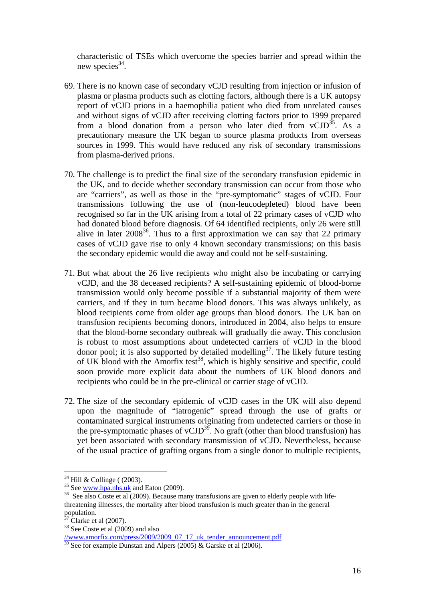characteristic of TSEs which overcome the species barrier and spread within the new species<sup>34</sup>.

- 69. There is no known case of secondary vCJD resulting from injection or infusion of plasma or plasma products such as clotting factors, although there is a UK autopsy report of vCJD prions in a haemophilia patient who died from unrelated causes and without signs of vCJD after receiving clotting factors prior to 1999 prepared from a blood donation from a person who later died from  $vCJD^{35}$ . As a precautionary measure the UK began to source plasma products from overseas sources in 1999. This would have reduced any risk of secondary transmissions from plasma-derived prions.
- 70. The challenge is to predict the final size of the secondary transfusion epidemic in the UK, and to decide whether secondary transmission can occur from those who are "carriers", as well as those in the "pre-symptomatic" stages of vCJD. Four transmissions following the use of (non-leucodepleted) blood have been recognised so far in the UK arising from a total of 22 primary cases of vCJD who had donated blood before diagnosis. Of 64 identified recipients, only 26 were still alive in later  $2008^{36}$ . Thus to a first approximation we can say that 22 primary cases of vCJD gave rise to only 4 known secondary transmissions; on this basis the secondary epidemic would die away and could not be self-sustaining.
- 71. But what about the 26 live recipients who might also be incubating or carrying vCJD, and the 38 deceased recipients? A self-sustaining epidemic of blood-borne transmission would only become possible if a substantial majority of them were carriers, and if they in turn became blood donors. This was always unlikely, as blood recipients come from older age groups than blood donors. The UK ban on transfusion recipients becoming donors, introduced in 2004, also helps to ensure that the blood-borne secondary outbreak will gradually die away. This conclusion is robust to most assumptions about undetected carriers of vCJD in the blood donor pool; it is also supported by detailed modelling<sup>37</sup>. The likely future testing of UK blood with the Amorfix test<sup>38</sup>, which is highly sensitive and specific, could soon provide more explicit data about the numbers of UK blood donors and recipients who could be in the pre-clinical or carrier stage of vCJD.
- 72. The size of the secondary epidemic of vCJD cases in the UK will also depend upon the magnitude of "iatrogenic" spread through the use of grafts or contaminated surgical instruments originating from undetected carriers or those in the pre-symptomatic phases of vCJD<sup>39</sup>. No graft (other than blood transfusion) has yet been associated with secondary transmission of vCJD. Nevertheless, because of the usual practice of grafting organs from a single donor to multiple recipients,

<sup>&</sup>lt;sup>34</sup> Hill & Collinge ( (2003).<br><sup>35</sup> See ww<u>w.hpa.nhs.uk</u> and Eaton (2009).

 $36$  See also Coste et al (2009). Because many transfusions are given to elderly people with lifethreatening illnesses, the mortality after blood transfusion is much greater than in the general population.

 $37$  Clarke et al (2007).

<sup>38</sup> See Coste et al (2009) and also

<sup>//</sup>www.amorfix.com/press/2009/2009\_07\_17\_uk\_tender\_announcement.pdf

 $\frac{39}{39}$  See for example Dunstan and Alpers (2005) & Garske et al (2006).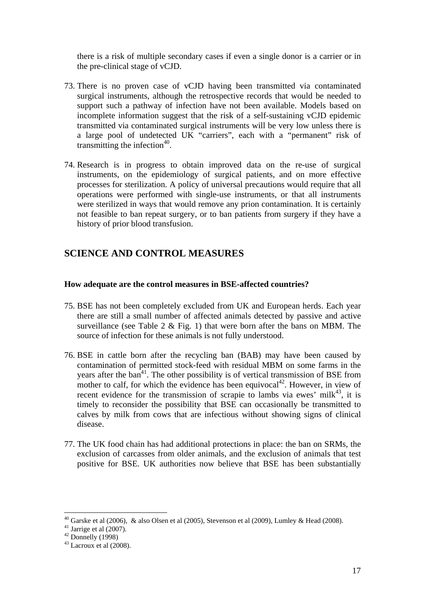there is a risk of multiple secondary cases if even a single donor is a carrier or in the pre-clinical stage of vCJD.

- 73. There is no proven case of vCJD having been transmitted via contaminated surgical instruments, although the retrospective records that would be needed to support such a pathway of infection have not been available. Models based on incomplete information suggest that the risk of a self-sustaining vCJD epidemic transmitted via contaminated surgical instruments will be very low unless there is a large pool of undetected UK "carriers", each with a "permanent" risk of transmitting the infection<sup>40</sup>.
- 74. Research is in progress to obtain improved data on the re-use of surgical instruments, on the epidemiology of surgical patients, and on more effective processes for sterilization. A policy of universal precautions would require that all operations were performed with single-use instruments, or that all instruments were sterilized in ways that would remove any prion contamination. It is certainly not feasible to ban repeat surgery, or to ban patients from surgery if they have a history of prior blood transfusion.

# **SCIENCE AND CONTROL MEASURES**

#### **How adequate are the control measures in BSE-affected countries?**

- 75. BSE has not been completely excluded from UK and European herds. Each year there are still a small number of affected animals detected by passive and active surveillance (see Table 2  $\&$  Fig. 1) that were born after the bans on MBM. The source of infection for these animals is not fully understood.
- 76. BSE in cattle born after the recycling ban (BAB) may have been caused by contamination of permitted stock-feed with residual MBM on some farms in the years after the  $ban<sup>41</sup>$ . The other possibility is of vertical transmission of BSE from mother to calf, for which the evidence has been equivocal<sup>42</sup>. However, in view of recent evidence for the transmission of scrapie to lambs via ewes' milk<sup>43</sup>, it is timely to reconsider the possibility that BSE can occasionally be transmitted to calves by milk from cows that are infectious without showing signs of clinical disease.
- 77. The UK food chain has had additional protections in place: the ban on SRMs, the exclusion of carcasses from older animals, and the exclusion of animals that test positive for BSE. UK authorities now believe that BSE has been substantially

<sup>&</sup>lt;sup>40</sup> Garske et al (2006), & also Olsen et al (2005), Stevenson et al (2009), Lumley & Head (2008).

 $41$  Jarrige et al (2007).

 $42$  Donnelly (1998)

 $43$  Lacroux et al (2008).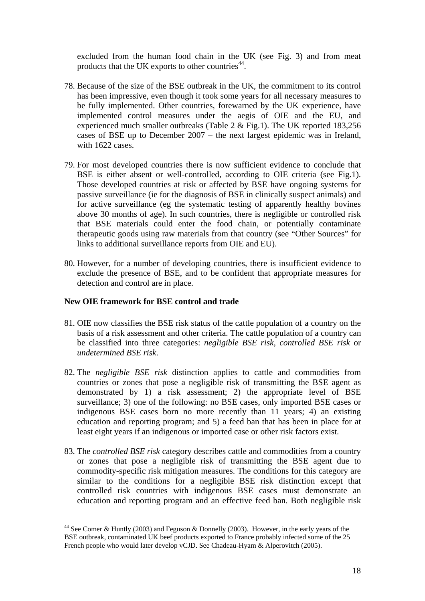excluded from the human food chain in the UK (see Fig. 3) and from meat products that the UK exports to other countries<sup>44</sup>.

- 78. Because of the size of the BSE outbreak in the UK, the commitment to its control has been impressive, even though it took some years for all necessary measures to be fully implemented. Other countries, forewarned by the UK experience, have implemented control measures under the aegis of OIE and the EU, and experienced much smaller outbreaks (Table 2 & Fig.1). The UK reported 183,256 cases of BSE up to December 2007 – the next largest epidemic was in Ireland, with 1622 cases.
- 79. For most developed countries there is now sufficient evidence to conclude that BSE is either absent or well-controlled, according to OIE criteria (see Fig.1). Those developed countries at risk or affected by BSE have ongoing systems for passive surveillance (ie for the diagnosis of BSE in clinically suspect animals) and for active surveillance (eg the systematic testing of apparently healthy bovines above 30 months of age). In such countries, there is negligible or controlled risk that BSE materials could enter the food chain, or potentially contaminate therapeutic goods using raw materials from that country (see "Other Sources" for links to additional surveillance reports from OIE and EU).
- 80. However, for a number of developing countries, there is insufficient evidence to exclude the presence of BSE, and to be confident that appropriate measures for detection and control are in place.

#### **New OIE framework for BSE control and trade**

- 81. OIE now classifies the BSE risk status of the cattle population of a country on the basis of a risk assessment and other criteria. The cattle population of a country can be classified into three categories: *negligible BSE risk*, *controlled BSE risk* or *undetermined BSE risk*.
- 82. The *negligible BSE risk* distinction applies to cattle and commodities from countries or zones that pose a negligible risk of transmitting the BSE agent as demonstrated by 1) a risk assessment; 2) the appropriate level of BSE surveillance; 3) one of the following: no BSE cases, only imported BSE cases or indigenous BSE cases born no more recently than 11 years; 4) an existing education and reporting program; and 5) a feed ban that has been in place for at least eight years if an indigenous or imported case or other risk factors exist.
- 83. The *controlled BSE risk* category describes cattle and commodities from a country or zones that pose a negligible risk of transmitting the BSE agent due to commodity-specific risk mitigation measures. The conditions for this category are similar to the conditions for a negligible BSE risk distinction except that controlled risk countries with indigenous BSE cases must demonstrate an education and reporting program and an effective feed ban. Both negligible risk

<sup>44</sup> See Comer & Huntly (2003) and Feguson & Donnelly (2003). However, in the early years of the BSE outbreak, contaminated UK beef products exported to France probably infected some of the 25 French people who would later develop vCJD. See Chadeau-Hyam & Alperovitch (2005).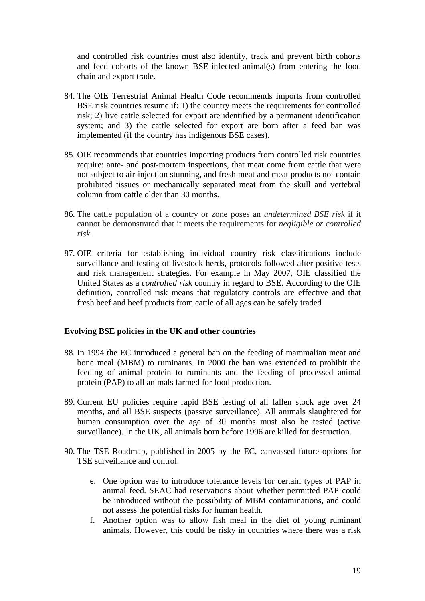and controlled risk countries must also identify, track and prevent birth cohorts and feed cohorts of the known BSE-infected animal(s) from entering the food chain and export trade.

- 84. The OIE Terrestrial Animal Health Code recommends imports from controlled BSE risk countries resume if: 1) the country meets the requirements for controlled risk; 2) live cattle selected for export are identified by a permanent identification system; and 3) the cattle selected for export are born after a feed ban was implemented (if the country has indigenous BSE cases).
- 85. OIE recommends that countries importing products from controlled risk countries require: ante- and post-mortem inspections, that meat come from cattle that were not subject to air-injection stunning, and fresh meat and meat products not contain prohibited tissues or mechanically separated meat from the skull and vertebral column from cattle older than 30 months.
- 86. The cattle population of a country or zone poses an *undetermined BSE risk* if it cannot be demonstrated that it meets the requirements for *negligible or controlled risk*.
- 87. OIE criteria for establishing individual country risk classifications include surveillance and testing of livestock herds, protocols followed after positive tests and risk management strategies. For example in May 2007, OIE classified the United States as a *controlled risk* country in regard to BSE. According to the OIE definition, controlled risk means that regulatory controls are effective and that fresh beef and beef products from cattle of all ages can be safely traded

#### **Evolving BSE policies in the UK and other countries**

- 88. In 1994 the EC introduced a general ban on the feeding of mammalian meat and bone meal (MBM) to ruminants. In 2000 the ban was extended to prohibit the feeding of animal protein to ruminants and the feeding of processed animal protein (PAP) to all animals farmed for food production.
- 89. Current EU policies require rapid BSE testing of all fallen stock age over 24 months, and all BSE suspects (passive surveillance). All animals slaughtered for human consumption over the age of 30 months must also be tested (active surveillance). In the UK, all animals born before 1996 are killed for destruction.
- 90. The TSE Roadmap, published in 2005 by the EC, canvassed future options for TSE surveillance and control.
	- e. One option was to introduce tolerance levels for certain types of PAP in animal feed. SEAC had reservations about whether permitted PAP could be introduced without the possibility of MBM contaminations, and could not assess the potential risks for human health.
	- f. Another option was to allow fish meal in the diet of young ruminant animals. However, this could be risky in countries where there was a risk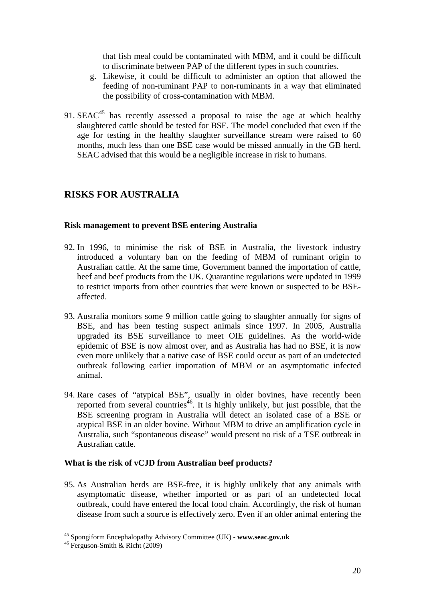that fish meal could be contaminated with MBM, and it could be difficult to discriminate between PAP of the different types in such countries.

- g. Likewise, it could be difficult to administer an option that allowed the feeding of non-ruminant PAP to non-ruminants in a way that eliminated the possibility of cross-contamination with MBM.
- 91.  $SEAC<sup>45</sup>$  has recently assessed a proposal to raise the age at which healthy slaughtered cattle should be tested for BSE. The model concluded that even if the age for testing in the healthy slaughter surveillance stream were raised to 60 months, much less than one BSE case would be missed annually in the GB herd. SEAC advised that this would be a negligible increase in risk to humans.

# **RISKS FOR AUSTRALIA**

#### **Risk management to prevent BSE entering Australia**

- 92. In 1996, to minimise the risk of BSE in Australia, the livestock industry introduced a voluntary ban on the feeding of MBM of ruminant origin to Australian cattle. At the same time, Government banned the importation of cattle, beef and beef products from the UK. Quarantine regulations were updated in 1999 to restrict imports from other countries that were known or suspected to be BSEaffected.
- 93. Australia monitors some 9 million cattle going to slaughter annually for signs of BSE, and has been testing suspect animals since 1997. In 2005, Australia upgraded its BSE surveillance to meet OIE guidelines. As the world-wide epidemic of BSE is now almost over, and as Australia has had no BSE, it is now even more unlikely that a native case of BSE could occur as part of an undetected outbreak following earlier importation of MBM or an asymptomatic infected animal.
- 94. Rare cases of "atypical BSE", usually in older bovines, have recently been reported from several countries<sup>46</sup>. It is highly unlikely, but just possible, that the BSE screening program in Australia will detect an isolated case of a BSE or atypical BSE in an older bovine. Without MBM to drive an amplification cycle in Australia, such "spontaneous disease" would present no risk of a TSE outbreak in Australian cattle.

#### **What is the risk of vCJD from Australian beef products?**

95. As Australian herds are BSE-free, it is highly unlikely that any animals with asymptomatic disease, whether imported or as part of an undetected local outbreak, could have entered the local food chain. Accordingly, the risk of human disease from such a source is effectively zero. Even if an older animal entering the

<sup>&</sup>lt;sup>45</sup> Spongiform Encephalopathy Advisory Committee (UK) - **www.seac.gov.uk** <sup>46</sup> Ferguson-Smith & Richt (2009)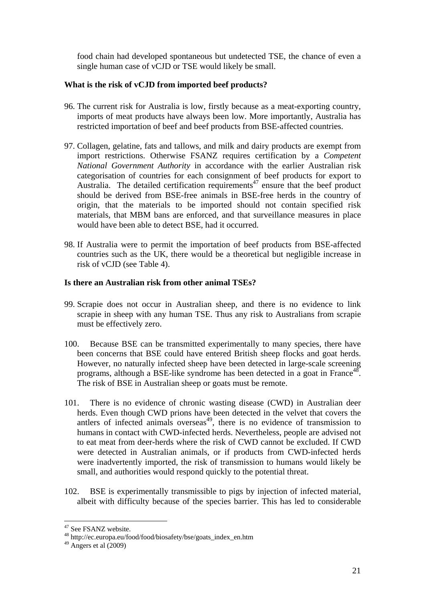food chain had developed spontaneous but undetected TSE, the chance of even a single human case of vCJD or TSE would likely be small.

#### **What is the risk of vCJD from imported beef products?**

- 96. The current risk for Australia is low, firstly because as a meat-exporting country, imports of meat products have always been low. More importantly, Australia has restricted importation of beef and beef products from BSE-affected countries.
- 97. Collagen, gelatine, fats and tallows, and milk and dairy products are exempt from import restrictions. Otherwise FSANZ requires certification by a *Competent National Government Authority* in accordance with the earlier Australian risk categorisation of countries for each consignment of beef products for export to Australia. The detailed certification requirements<sup>47</sup> ensure that the beef product should be derived from BSE-free animals in BSE-free herds in the country of origin, that the materials to be imported should not contain specified risk materials, that MBM bans are enforced, and that surveillance measures in place would have been able to detect BSE, had it occurred.
- 98. If Australia were to permit the importation of beef products from BSE-affected countries such as the UK, there would be a theoretical but negligible increase in risk of vCJD (see Table 4).

#### **Is there an Australian risk from other animal TSEs?**

- 99. Scrapie does not occur in Australian sheep, and there is no evidence to link scrapie in sheep with any human TSE. Thus any risk to Australians from scrapie must be effectively zero.
- 100. Because BSE can be transmitted experimentally to many species, there have been concerns that BSE could have entered British sheep flocks and goat herds. However, no naturally infected sheep have been detected in large-scale screening programs, although a BSE-like syndrome has been detected in a goat in France<sup>48</sup>. The risk of BSE in Australian sheep or goats must be remote.
- 101. There is no evidence of chronic wasting disease (CWD) in Australian deer herds. Even though CWD prions have been detected in the velvet that covers the antlers of infected animals overseas<sup>49</sup>, there is no evidence of transmission to humans in contact with CWD-infected herds. Nevertheless, people are advised not to eat meat from deer-herds where the risk of CWD cannot be excluded. If CWD were detected in Australian animals, or if products from CWD-infected herds were inadvertently imported, the risk of transmission to humans would likely be small, and authorities would respond quickly to the potential threat.
- 102. BSE is experimentally transmissible to pigs by injection of infected material, albeit with difficulty because of the species barrier. This has led to considerable

<sup>&</sup>lt;sup>47</sup> See FSANZ website.

<sup>48</sup> http://ec.europa.eu/food/food/biosafety/bse/goats\_index\_en.htm

 $49$  Angers et al  $(2009)$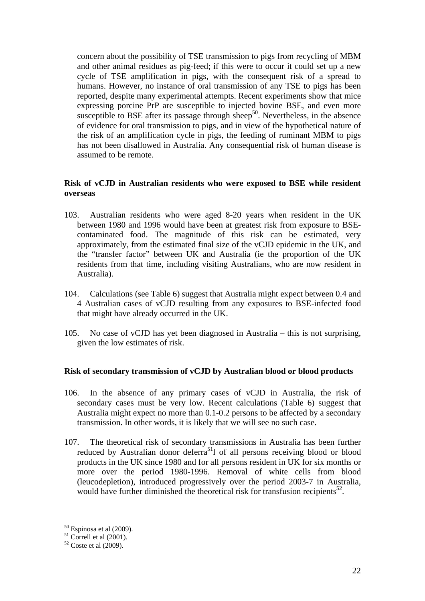concern about the possibility of TSE transmission to pigs from recycling of MBM and other animal residues as pig-feed; if this were to occur it could set up a new cycle of TSE amplification in pigs, with the consequent risk of a spread to humans. However, no instance of oral transmission of any TSE to pigs has been reported, despite many experimental attempts. Recent experiments show that mice expressing porcine PrP are susceptible to injected bovine BSE, and even more susceptible to BSE after its passage through sheep<sup>50</sup>. Nevertheless, in the absence of evidence for oral transmission to pigs, and in view of the hypothetical nature of the risk of an amplification cycle in pigs, the feeding of ruminant MBM to pigs has not been disallowed in Australia. Any consequential risk of human disease is assumed to be remote.

#### **Risk of vCJD in Australian residents who were exposed to BSE while resident overseas**

- 103. Australian residents who were aged 8-20 years when resident in the UK between 1980 and 1996 would have been at greatest risk from exposure to BSEcontaminated food. The magnitude of this risk can be estimated, very approximately, from the estimated final size of the vCJD epidemic in the UK, and the "transfer factor" between UK and Australia (ie the proportion of the UK residents from that time, including visiting Australians, who are now resident in Australia).
- 104. Calculations (see Table 6) suggest that Australia might expect between 0.4 and 4 Australian cases of vCJD resulting from any exposures to BSE-infected food that might have already occurred in the UK.
- 105. No case of vCJD has yet been diagnosed in Australia this is not surprising, given the low estimates of risk.

#### **Risk of secondary transmission of vCJD by Australian blood or blood products**

- 106. In the absence of any primary cases of vCJD in Australia, the risk of secondary cases must be very low. Recent calculations (Table 6) suggest that Australia might expect no more than 0.1-0.2 persons to be affected by a secondary transmission. In other words, it is likely that we will see no such case.
- 107. The theoretical risk of secondary transmissions in Australia has been further reduced by Australian donor deferra<sup>51</sup>l of all persons receiving blood or blood products in the UK since 1980 and for all persons resident in UK for six months or more over the period 1980-1996. Removal of white cells from blood (leucodepletion), introduced progressively over the period 2003-7 in Australia, would have further diminished the theoretical risk for transfusion recipients<sup>52</sup>.

 $50$  Espinosa et al (2009).

 $51$  Correll et al (2001).

 $52$  Coste et al  $(2009)$ .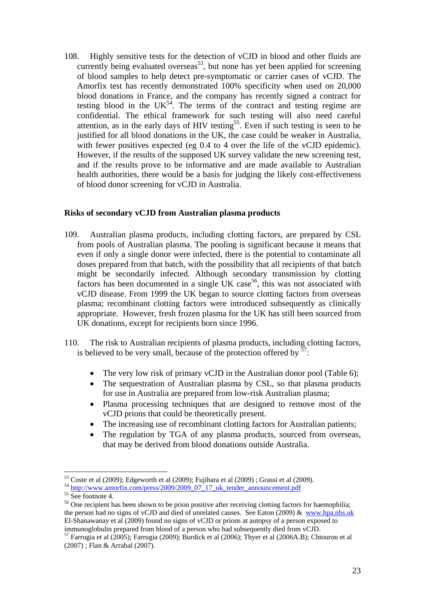108. Highly sensitive tests for the detection of vCJD in blood and other fluids are currently being evaluated overseas<sup>53</sup>, but none has yet been applied for screening of blood samples to help detect pre-symptomatic or carrier cases of vCJD. The Amorfix test has recently demonstrated 100% specificity when used on 20,000 blood donations in France, and the company has recently signed a contract for testing blood in the  $UK<sup>54</sup>$ . The terms of the contract and testing regime are confidential. The ethical framework for such testing will also need careful attention, as in the early days of HIV testing<sup>55</sup>. Even if such testing is seen to be justified for all blood donations in the UK, the case could be weaker in Australia, with fewer positives expected (eg 0.4 to 4 over the life of the vCJD epidemic). However, if the results of the supposed UK survey validate the new screening test, and if the results prove to be informative and are made available to Australian health authorities, there would be a basis for judging the likely cost-effectiveness of blood donor screening for vCJD in Australia.

#### **Risks of secondary vCJD from Australian plasma products**

- 109. Australian plasma products, including clotting factors, are prepared by CSL from pools of Australian plasma. The pooling is significant because it means that even if only a single donor were infected, there is the potential to contaminate all doses prepared from that batch, with the possibility that all recipients of that batch might be secondarily infected. Although secondary transmission by clotting factors has been documented in a single UK case<sup>56</sup>, this was not associated with vCJD disease. From 1999 the UK began to source clotting factors from overseas plasma; recombinant clotting factors were introduced subsequently as clinically appropriate. However, fresh frozen plasma for the UK has still been sourced from UK donations, except for recipients born since 1996.
- 110. The risk to Australian recipients of plasma products, including clotting factors, is believed to be very small, because of the protection offered by  $57$ .
	- The very low risk of primary vCJD in the Australian donor pool (Table 6);
	- The sequestration of Australian plasma by CSL, so that plasma products for use in Australia are prepared from low-risk Australian plasma;
	- Plasma processing techniques that are designed to remove most of the vCJD prions that could be theoretically present.
	- The increasing use of recombinant clotting factors for Australian patients;
	- The regulation by TGA of any plasma products, sourced from overseas, that may be derived from blood donations outside Australia.

<sup>&</sup>lt;sup>53</sup> Coste et al (2009); Edgeworth et al (2009); Fujihara et al (2009) ; Grassi et al (2009).<br><sup>54</sup> http://www.amorfix.com/press/2009/2009\_07\_17\_uk\_tender\_announcement.pdf <sup>55</sup> See footnote 4.

<sup>&</sup>lt;sup>56</sup> One recipient has been shown to be prion positive after receiving clotting factors for haemophilia; the person had no signs of vCJD and died of unrelated causes. See Eaton (2009) & www.hpa.nhs.uk El-Shanawanay et al (2009) found no signs of vCJD or prions at autopsy of a person exposed to immunoglobulin prepared from blood of a person who had subsequently died from vCJD.

<sup>57</sup> Farrugia et al (2005); Farrugia (2009); Burdick et al (2006); Thyer et al (2006A.B); Chtourou et al (2007) ; Flan & Arrabal (2007).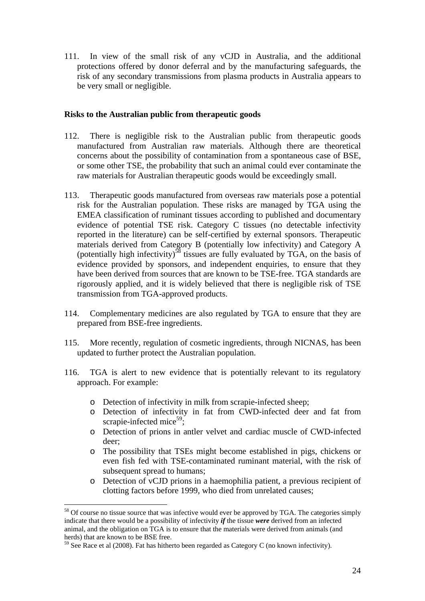111. In view of the small risk of any vCJD in Australia, and the additional protections offered by donor deferral and by the manufacturing safeguards, the risk of any secondary transmissions from plasma products in Australia appears to be very small or negligible.

#### **Risks to the Australian public from therapeutic goods**

- 112. There is negligible risk to the Australian public from therapeutic goods manufactured from Australian raw materials. Although there are theoretical concerns about the possibility of contamination from a spontaneous case of BSE, or some other TSE, the probability that such an animal could ever contaminate the raw materials for Australian therapeutic goods would be exceedingly small.
- 113. Therapeutic goods manufactured from overseas raw materials pose a potential risk for the Australian population. These risks are managed by TGA using the EMEA classification of ruminant tissues according to published and documentary evidence of potential TSE risk. Category C tissues (no detectable infectivity reported in the literature) can be self-certified by external sponsors. Therapeutic materials derived from Category B (potentially low infectivity) and Category A (potentially high infectivity)<sup>58</sup> tissues are fully evaluated by TGA, on the basis of evidence provided by sponsors, and independent enquiries, to ensure that they have been derived from sources that are known to be TSE-free. TGA standards are rigorously applied, and it is widely believed that there is negligible risk of TSE transmission from TGA-approved products.
- 114. Complementary medicines are also regulated by TGA to ensure that they are prepared from BSE-free ingredients.
- 115. More recently, regulation of cosmetic ingredients, through NICNAS, has been updated to further protect the Australian population.
- 116. TGA is alert to new evidence that is potentially relevant to its regulatory approach. For example:
	- o Detection of infectivity in milk from scrapie-infected sheep;
	- o Detection of infectivity in fat from CWD-infected deer and fat from scrapie-infected mice<sup>59</sup>:
	- o Detection of prions in antler velvet and cardiac muscle of CWD-infected deer;
	- o The possibility that TSEs might become established in pigs, chickens or even fish fed with TSE-contaminated ruminant material, with the risk of subsequent spread to humans:
	- o Detection of vCJD prions in a haemophilia patient, a previous recipient of clotting factors before 1999, who died from unrelated causes;

<sup>&</sup>lt;sup>58</sup> Of course no tissue source that was infective would ever be approved by TGA. The categories simply indicate that there would be a possibility of infectivity *if* the tissue *were* derived from an infected animal, and the obligation on TGA is to ensure that the materials were derived from animals (and herds) that are known to be BSE free.

 $59$  See Race et al (2008). Fat has hitherto been regarded as Category C (no known infectivity).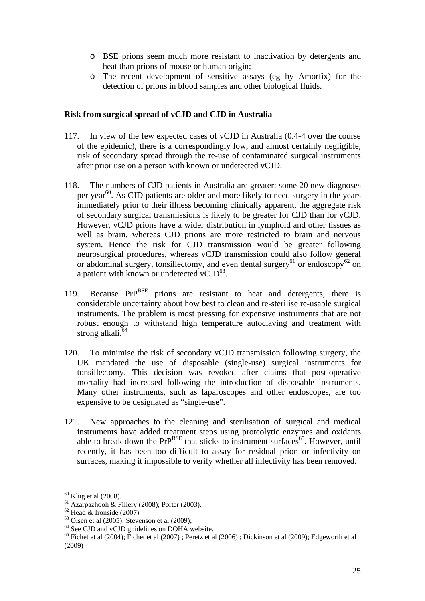- o BSE prions seem much more resistant to inactivation by detergents and heat than prions of mouse or human origin;
- o The recent development of sensitive assays (eg by Amorfix) for the detection of prions in blood samples and other biological fluids.

#### **Risk from surgical spread of vCJD and CJD in Australia**

- 117. In view of the few expected cases of vCJD in Australia (0.4-4 over the course of the epidemic), there is a correspondingly low, and almost certainly negligible, risk of secondary spread through the re-use of contaminated surgical instruments after prior use on a person with known or undetected vCJD.
- 118. The numbers of CJD patients in Australia are greater: some 20 new diagnoses per year<sup>60</sup>. As CJD patients are older and more likely to need surgery in the years immediately prior to their illness becoming clinically apparent, the aggregate risk of secondary surgical transmissions is likely to be greater for CJD than for vCJD. However, vCJD prions have a wider distribution in lymphoid and other tissues as well as brain, whereas CJD prions are more restricted to brain and nervous system. Hence the risk for CJD transmission would be greater following neurosurgical procedures, whereas vCJD transmission could also follow general or abdominal surgery, tonsillectomy, and even dental surgery<sup>61</sup> or endoscopy<sup>62</sup> on a patient with known or undetected vCJD $^{63}$ .
- 119. Because PrP<sup>BSE</sup> prions are resistant to heat and detergents, there is considerable uncertainty about how best to clean and re-sterilise re-usable surgical instruments. The problem is most pressing for expensive instruments that are not robust enough to withstand high temperature autoclaving and treatment with strong alkali.<sup>64</sup>
- 120. To minimise the risk of secondary vCJD transmission following surgery, the UK mandated the use of disposable (single-use) surgical instruments for tonsillectomy. This decision was revoked after claims that post-operative mortality had increased following the introduction of disposable instruments. Many other instruments, such as laparoscopes and other endoscopes, are too expensive to be designated as "single-use".
- 121. New approaches to the cleaning and sterilisation of surgical and medical instruments have added treatment steps using proteolytic enzymes and oxidants able to break down the  $Pr^{BSE}$  that sticks to instrument surfaces<sup>65</sup>. However, until recently, it has been too difficult to assay for residual prion or infectivity on surfaces, making it impossible to verify whether all infectivity has been removed.

 $60$  Klug et al (2008).

 $^{61}$  Azarpazhooh & Fillery (2008); Porter (2003).

 $62$  Head & Ironside (2007)

 $63$  Olsen et al (2005); Stevenson et al (2009);

<sup>&</sup>lt;sup>64</sup> See CJD and vCJD guidelines on DOHA website.

 $65$  Fichet et al (2004); Fichet et al (2007) ; Peretz et al (2006) ; Dickinson et al (2009); Edgeworth et al (2009)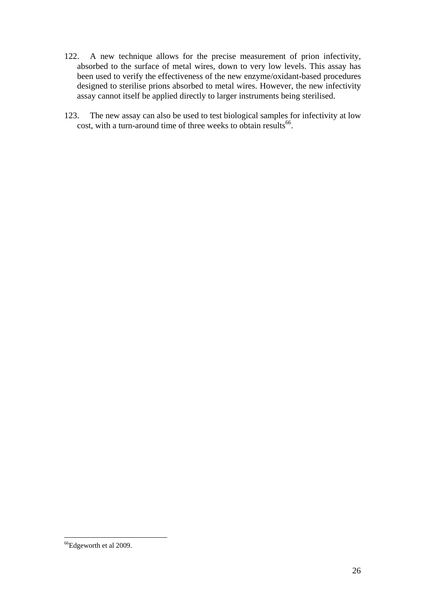- 122. A new technique allows for the precise measurement of prion infectivity, absorbed to the surface of metal wires, down to very low levels. This assay has been used to verify the effectiveness of the new enzyme/oxidant-based procedures designed to sterilise prions absorbed to metal wires. However, the new infectivity assay cannot itself be applied directly to larger instruments being sterilised.
- 123. The new assay can also be used to test biological samples for infectivity at low cost, with a turn-around time of three weeks to obtain results<sup>66</sup>.

<sup>&</sup>lt;sup>66</sup>Edgeworth et al 2009.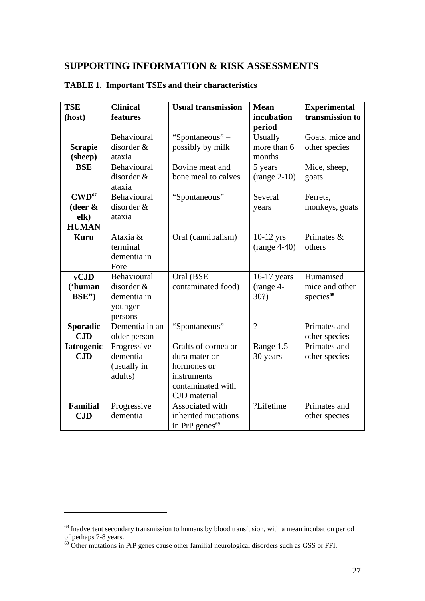# **SUPPORTING INFORMATION & RISK ASSESSMENTS**

| <b>TSE</b><br>(host) | <b>Clinical</b><br>features | <b>Usual transmission</b>  | <b>Mean</b><br>incubation | <b>Experimental</b><br>transmission to |
|----------------------|-----------------------------|----------------------------|---------------------------|----------------------------------------|
|                      |                             |                            | period                    |                                        |
|                      | Behavioural                 | "Spontaneous" -            | Usually                   | Goats, mice and                        |
| <b>Scrapie</b>       | disorder &                  | possibly by milk           | more than 6               | other species                          |
| (sheep)              | ataxia                      |                            | months                    |                                        |
| <b>BSE</b>           | Behavioural                 | Bovine meat and            | 5 years                   | Mice, sheep,                           |
|                      | disorder &                  | bone meal to calves        | $(range 2-10)$            | goats                                  |
|                      | ataxia                      |                            |                           |                                        |
| $\text{CWD}^{67}$    | Behavioural                 | "Spontaneous"              | Several                   | Ferrets,                               |
| (deer $\&$           | disorder &                  |                            | years                     | monkeys, goats                         |
| elk)                 | ataxia                      |                            |                           |                                        |
| <b>HUMAN</b>         |                             |                            |                           |                                        |
| <b>Kuru</b>          | Ataxia &                    | Oral (cannibalism)         | $10-12$ yrs               | Primates &                             |
|                      | terminal                    |                            | $(range 4-40)$            | others                                 |
|                      | dementia in                 |                            |                           |                                        |
|                      | Fore                        |                            |                           |                                        |
| vCJD                 | Behavioural                 | Oral (BSE                  | 16-17 years               | Humanised                              |
| ('human              | disorder &                  | contaminated food)         | (range 4-                 | mice and other                         |
| BSE")                | dementia in                 |                            | 30?)                      | species <sup>68</sup>                  |
|                      | younger                     |                            |                           |                                        |
|                      | persons                     |                            |                           |                                        |
| <b>Sporadic</b>      | Dementia in an              | "Spontaneous"              | $\overline{2}$            | Primates and                           |
| CJD                  | older person                |                            |                           | other species                          |
| <b>Iatrogenic</b>    | Progressive                 | Grafts of cornea or        | Range 1.5 -               | Primates and                           |
| CJD                  | dementia                    | dura mater or              | 30 years                  | other species                          |
|                      | (usually in                 | hormones or                |                           |                                        |
|                      | adults)                     | instruments                |                           |                                        |
|                      |                             | contaminated with          |                           |                                        |
|                      |                             | CJD material               |                           |                                        |
| <b>Familial</b>      | Progressive                 | Associated with            | ?Lifetime                 | Primates and                           |
| CJD                  | dementia                    | inherited mutations        |                           | other species                          |
|                      |                             | in PrP genes <sup>69</sup> |                           |                                        |

#### **TABLE 1. Important TSEs and their characteristics**

<sup>&</sup>lt;sup>68</sup> Inadvertent secondary transmission to humans by blood transfusion, with a mean incubation period of perhaps 7-8 years.

 $69$  Other mutations in PrP genes cause other familial neurological disorders such as GSS or FFI.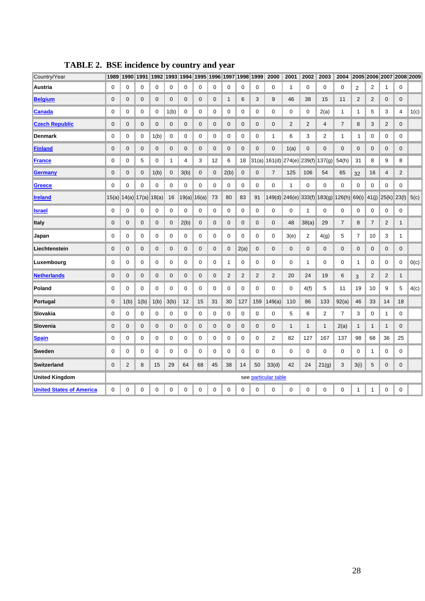| Country/Year                    | 1989        |                  |             |       |              |                | 1990   1991   1992   1993   1994   1995   1996   1997   1998   1999 |    |              |                |                | 2000                 | 2001            | 2002           | 2003           | 2004           |                  | 2005 2006 2007 2008 2009 |                |                |      |
|---------------------------------|-------------|------------------|-------------|-------|--------------|----------------|---------------------------------------------------------------------|----|--------------|----------------|----------------|----------------------|-----------------|----------------|----------------|----------------|------------------|--------------------------|----------------|----------------|------|
| Austria                         | 0           | 0                | $\mathbf 0$ | 0     | 0            | 0              | 0                                                                   | 0  | 0            | 0              | 0              | 0                    | $\mathbf 1$     | $\mathbf 0$    | 0              | 0              | $\overline{2}$   | 2                        | $\mathbf{1}$   | 0              |      |
| <b>Belgium</b>                  | 0           | $\mathbf 0$      | 0           | 0     | $\mathbf 0$  | $\mathbf 0$    | 0                                                                   | 0  | $\mathbf{1}$ | 6              | 3              | 9                    | 46              | 38             | 15             | 11             | 2                | 2                        | $\mathbf 0$    | $\mathbf 0$    |      |
| <b>Canada</b>                   | 0           | 0                | 0           | 0     | 1(b)         | 0              | 0                                                                   | 0  | 0            | 0              | 0              | 0                    | 0               | 0              | 2(a)           | 1              | $\mathbf{1}$     | 5                        | 3              | 4              | 1(c) |
| <b>Czech Republic</b>           | 0           | $\boldsymbol{0}$ | $\mathbf 0$ | 0     | $\mathbf 0$  | $\mathbf 0$    | 0                                                                   | 0  | $\mathbf 0$  | $\mathbf 0$    | 0              | 0                    | $\overline{2}$  | $\overline{2}$ | 4              | $\overline{7}$ | 8                | 3                        | $\overline{c}$ | $\mathbf 0$    |      |
| <b>Denmark</b>                  | 0           | 0                | 0           | 1(b)  | 0            | 0              | 0                                                                   | 0  | 0            | 0              | 0              | $\mathbf{1}$         | 6               | 3              | 2              | 1              | 1                | 0                        | 0              | 0              |      |
| <b>Finland</b>                  | 0           | 0                | 0           | 0     | 0            | $\mathbf 0$    | 0                                                                   | 0  | 0            | 0              | 0              | 0                    | 1(a)            | $\mathbf 0$    | $\mathbf{0}$   | 0              | $\mathbf 0$      | 0                        | 0              | $\mathbf 0$    |      |
| <b>France</b>                   | 0           | 0                | 5           | 0     | $\mathbf{1}$ | $\overline{4}$ | 3                                                                   | 12 | 6            | 18             | 31(a)          |                      | $161(d)$ 274(e) | 239(f)         | 137(g)         | 54(h)          | 31               | 8                        | 9              | 8              |      |
| Germany                         | 0           | $\boldsymbol{0}$ | 0           | 1(b)  | $\mathbf 0$  | 3(b)           | 0                                                                   | 0  | 2(b)         | $\mathbf 0$    | 0              | $\overline{7}$       | 125             | 106            | 54             | 65             | 32               | 16                       | 4              | $\overline{2}$ |      |
| Greece                          | 0           | 0                | 0           | 0     | 0            | $\mathbf 0$    | 0                                                                   | 0  | 0            | 0              | 0              | 0                    | $\mathbf{1}$    | $\mathbf 0$    | 0              | 0              | $\mathbf 0$      | 0                        | $\mathbf 0$    | $\mathbf 0$    |      |
| <u>Ireland</u>                  | 15(a)       | 14(a)            | 17(a)       | 18(a) | 16           | 19(a)          | 16(a)                                                               | 73 | 80           | 83             | 91             |                      | 149(d) 246(e)   | 333(f)         | 183(g)         | 126(h)         | 69(i)            | 41(j)                    | 25(k)          | 23(l)          | 5(c) |
| <u><b>Israel</b></u>            | 0           | 0                | $\mathbf 0$ | 0     | 0            | $\mathbf 0$    | 0                                                                   | 0  | 0            | 0              | $\mathbf 0$    | 0                    | 0               | 1              | 0              | 0              | $\mathbf 0$      | 0                        | 0              | 0              |      |
| <b>Italy</b>                    | 0           | $\mathbf 0$      | 0           | 0     | $\mathbf 0$  | 2(b)           | 0                                                                   | 0  | 0            | 0              | 0              | 0                    | 48              | 38(a)          | 29             | 7              | 8                | 7                        | $\overline{2}$ | $\mathbf{1}$   |      |
| Japan                           | 0           | 0                | 0           | 0     | 0            | 0              | 0                                                                   | 0  | 0            | 0              | 0              | 0                    | 3(e)            | 2              | 4(g)           | 5              | 7                | 10                       | 3              | 1              |      |
| Liechtenstein                   | 0           | $\mathbf 0$      | 0           | 0     | 0            | $\mathbf 0$    | 0                                                                   | 0  | $\mathbf 0$  | 2(a)           | 0              | 0                    | 0               | $\mathbf 0$    | 0              | 0              | $\boldsymbol{0}$ | 0                        | 0              | 0              |      |
| Luxembourg                      | 0           | 0                | 0           | 0     | 0            | 0              | 0                                                                   | 0  | 1            | 0              | 0              | 0                    | 0               | 1              | 0              | 0              | 1                | 0                        | 0              | 0              | O(c) |
| <b>Netherlands</b>              | 0           | 0                | 0           | 0     | 0            | $\mathbf 0$    | 0                                                                   | 0  | 2            | $\overline{2}$ | $\overline{2}$ | 2                    | 20              | 24             | 19             | 6              | 3                | 2                        | $\overline{2}$ | $\mathbf{1}$   |      |
| Poland                          | 0           | $\mathbf 0$      | $\mathbf 0$ | 0     | 0            | $\mathbf 0$    | 0                                                                   | 0  | 0            | 0              | 0              | 0                    | 0               | 4(f)           | 5              | 11             | 19               | 10                       | 9              | 5              | 4(c) |
| Portugal                        | $\mathbf 0$ | 1(b)             | 1(b)        | 1(b)  | 3(b)         | 12             | 15                                                                  | 31 | 30           | 127            | 159            | 149(a)               | 110             | 86             | 133            | 92(a)          | 46               | 33                       | 14             | 18             |      |
| Slovakia                        | 0           | 0                | 0           | 0     | 0            | 0              | 0                                                                   | 0  | 0            | 0              | 0              | 0                    | 5               | 6              | $\overline{2}$ | 7              | 3                | 0                        | $\mathbf{1}$   | 0              |      |
| Slovenia                        | 0           | 0                | 0           | 0     | 0            | 0              | 0                                                                   | 0  | 0            | $\mathbf 0$    | 0              | 0                    | $\mathbf{1}$    | $\mathbf{1}$   | 1              | 2(a)           | 1                | 1                        | 1              | $\mathbf 0$    |      |
| <b>Spain</b>                    | 0           | $\mathbf 0$      | 0           | 0     | $\mathbf 0$  | $\mathbf 0$    | 0                                                                   | 0  | $\mathbf 0$  | $\mathbf 0$    | 0              | $\overline{2}$       | 82              | 127            | 167            | 137            | 98               | 68                       | 36             | 25             |      |
| Sweden                          | 0           | 0                | 0           | 0     | 0            | 0              | 0                                                                   | 0  | $\mathbf 0$  | 0              | 0              | 0                    | 0               | 0              | 0              | 0              | 0                | 1                        | 0              | 0              |      |
| <b>Switzerland</b>              | 0           | $\overline{2}$   | 8           | 15    | 29           | 64             | 68                                                                  | 45 | 38           | 14             | 50             | 33(d)                | 42              | 24             | 21(g)          | 3              | 3(i)             | 5                        | $\mathbf 0$    | $\mathbf 0$    |      |
| <b>United Kingdom</b>           |             |                  |             |       |              |                |                                                                     |    |              |                |                | see particular table |                 |                |                |                |                  |                          |                |                |      |
| <b>United States of America</b> | 0           | 0                | 0           | 0     | 0            | 0              | 0                                                                   | 0  | 0            | 0              | $\mathbf 0$    | 0                    | $\mathbf 0$     | 0              | 0              | 0              | 1                | 1                        | 0              | $\mathbf 0$    |      |

**TABLE 2. BSE incidence by country and year**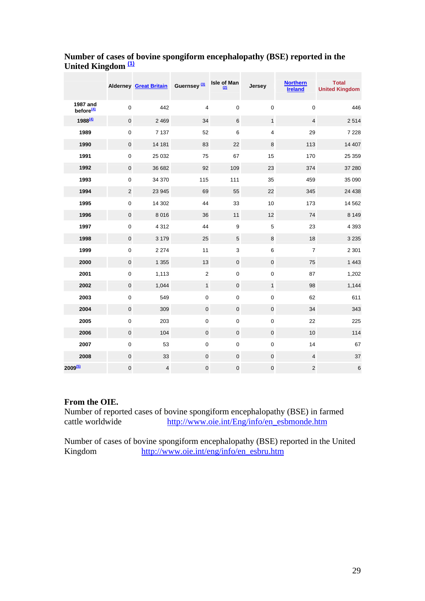|                                   |                  | Alderney Great Britain Guernsey <sup>(3)</sup> |                | Isle of Man    | Jersey                  | <b>Northern</b><br><b>Ireland</b> | <b>Total</b><br><b>United Kingdom</b> |
|-----------------------------------|------------------|------------------------------------------------|----------------|----------------|-------------------------|-----------------------------------|---------------------------------------|
| 1987 and<br>before <sup>(4)</sup> | $\pmb{0}$        | 442                                            | 4              | 0              | $\boldsymbol{0}$        | $\mathbf 0$                       | 446                                   |
| 1988 <sup>(4)</sup>               | $\mathbf 0$      | 2 4 6 9                                        | 34             | $6\phantom{1}$ | $\mathbf{1}$            | $\overline{4}$                    | 2 5 1 4                               |
| 1989                              | $\pmb{0}$        | 7 1 3 7                                        | 52             | 6              | $\overline{\mathbf{4}}$ | 29                                | 7 2 2 8                               |
| 1990                              | $\mathbf 0$      | 14 181                                         | 83             | 22             | $\bf 8$                 | 113                               | 14 407                                |
| 1991                              | $\boldsymbol{0}$ | 25 0 32                                        | 75             | 67             | 15                      | 170                               | 25 35 9                               |
| 1992                              | $\mathbf 0$      | 36 682                                         | 92             | 109            | 23                      | 374                               | 37 280                                |
| 1993                              | $\boldsymbol{0}$ | 34 370                                         | 115            | 111            | 35                      | 459                               | 35 090                                |
| 1994                              | $\mathbf 2$      | 23 945                                         | 69             | 55             | 22                      | 345                               | 24 4 38                               |
| 1995                              | $\pmb{0}$        | 14 302                                         | 44             | 33             | 10                      | 173                               | 14 5 62                               |
| 1996                              | $\pmb{0}$        | 8 0 1 6                                        | 36             | 11             | 12                      | 74                                | 8 1 4 9                               |
| 1997                              | $\pmb{0}$        | 4 3 1 2                                        | 44             | 9              | 5                       | 23                                | 4 3 9 3                               |
| 1998                              | $\mathbf 0$      | 3 1 7 9                                        | 25             | 5              | 8                       | 18                                | 3 2 3 5                               |
| 1999                              | $\pmb{0}$        | 2 2 7 4                                        | 11             | 3              | 6                       | $\overline{7}$                    | 2 3 0 1                               |
| 2000                              | $\pmb{0}$        | 1 3 5 5                                        | 13             | $\pmb{0}$      | $\pmb{0}$               | 75                                | 1 4 4 3                               |
| 2001                              | $\boldsymbol{0}$ | 1,113                                          | $\overline{2}$ | 0              | $\pmb{0}$               | 87                                | 1,202                                 |
| 2002                              | $\mathbf 0$      | 1,044                                          | $\mathbf{1}$   | $\pmb{0}$      | $\mathbf{1}$            | 98                                | 1,144                                 |
| 2003                              | $\pmb{0}$        | 549                                            | $\pmb{0}$      | 0              | $\pmb{0}$               | 62                                | 611                                   |
| 2004                              | $\mathbf 0$      | 309                                            | $\pmb{0}$      | $\mathbf 0$    | $\pmb{0}$               | 34                                | 343                                   |
| 2005                              | $\pmb{0}$        | 203                                            | $\pmb{0}$      | 0              | $\mathbf 0$             | 22                                | 225                                   |
| 2006                              | $\mathbf 0$      | 104                                            | $\pmb{0}$      | 0              | $\pmb{0}$               | 10                                | 114                                   |
| 2007                              | $\pmb{0}$        | 53                                             | $\pmb{0}$      | 0              | $\pmb{0}$               | 14                                | 67                                    |
| 2008                              | $\pmb{0}$        | 33                                             | $\pmb{0}$      | 0              | $\pmb{0}$               | $\overline{4}$                    | 37                                    |
| 2009 <sup>(5)</sup>               | $\mathbf 0$      | 4                                              | $\pmb{0}$      | 0              | $\pmb{0}$               | $\overline{2}$                    | 6                                     |

#### **Number of cases of bovine spongiform encephalopathy (BSE) reported in the United Kingdom (1)**

#### **From the OIE.**

Number of reported cases of bovine spongiform encephalopathy (BSE) in farmed cattle worldwide http://www.oie.int/Eng/info/en\_esbmonde.htm

Number of cases of bovine spongiform encephalopathy (BSE) reported in the United<br>Kingdom http://www.oie.int/eng/info/en\_esbru.htm http://www.oie.int/eng/info/en\_esbru.htm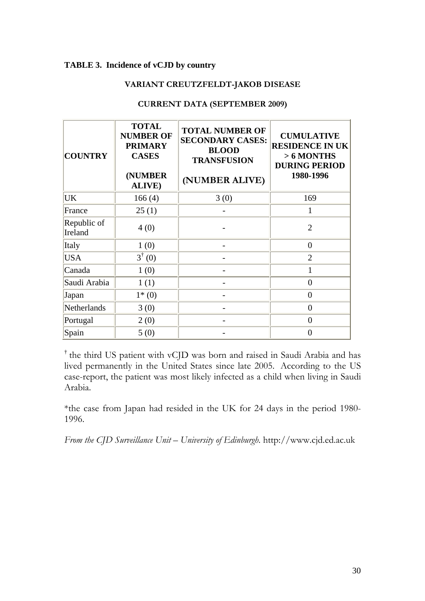#### **TABLE 3. Incidence of vCJD by country**

#### **VARIANT CREUTZFELDT-JAKOB DISEASE**

| <b>COUNTRY</b>         | <b>TOTAL</b><br><b>NUMBER OF</b><br><b>PRIMARY</b><br><b>CASES</b><br>(NUMBER<br><b>ALIVE</b> ) | <b>TOTAL NUMBER OF</b><br><b>SECONDARY CASES:</b><br><b>BLOOD</b><br><b>TRANSFUSION</b><br>(NUMBER ALIVE) | <b>CUMULATIVE</b><br><b>RESIDENCE IN UK</b><br>$> 6$ MONTHS<br><b>DURING PERIOD</b><br>1980-1996 |
|------------------------|-------------------------------------------------------------------------------------------------|-----------------------------------------------------------------------------------------------------------|--------------------------------------------------------------------------------------------------|
| UK                     | 166(4)                                                                                          | 3(0)                                                                                                      | 169                                                                                              |
| France                 | 25(1)                                                                                           |                                                                                                           | 1                                                                                                |
| Republic of<br>Ireland | 4(0)                                                                                            |                                                                                                           | $\overline{2}$                                                                                   |
| Italy                  | 1(0)                                                                                            |                                                                                                           | $\boldsymbol{0}$                                                                                 |
| <b>USA</b>             | $3^{\dagger}$ (0)                                                                               |                                                                                                           | $\overline{2}$                                                                                   |
| Canada                 | 1(0)                                                                                            |                                                                                                           |                                                                                                  |
| Saudi Arabia           | 1(1)                                                                                            |                                                                                                           | $\overline{0}$                                                                                   |
| Japan                  | $1*(0)$                                                                                         |                                                                                                           | $\overline{0}$                                                                                   |
| Netherlands            | 3(0)                                                                                            |                                                                                                           | $\overline{0}$                                                                                   |
| Portugal               | 2(0)                                                                                            |                                                                                                           | $\overline{0}$                                                                                   |
| Spain                  | 5(0)                                                                                            |                                                                                                           | $\theta$                                                                                         |

#### **CURRENT DATA (SEPTEMBER 2009)**

† the third US patient with vCJD was born and raised in Saudi Arabia and has lived permanently in the United States since late 2005. According to the US case-report, the patient was most likely infected as a child when living in Saudi Arabia.

\*the case from Japan had resided in the UK for 24 days in the period 1980- 1996.

*From the CJD Surveillance Unit – University of Edinburgh.* http://www.cjd.ed.ac.uk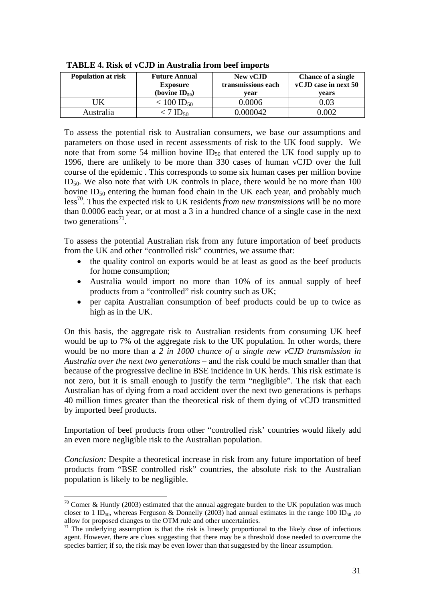| Population at risk | <b>Future Annual</b><br><b>Exposure</b> | New vCJD<br>transmissions each | <b>Chance of a single</b><br>vCJD case in next 50 |  |  |
|--------------------|-----------------------------------------|--------------------------------|---------------------------------------------------|--|--|
|                    | (bovine $ID_{50}$ )                     | vear                           | vears                                             |  |  |
|                    | $< 100$ ID <sub>50</sub>                | 0.0006                         | 0.03                                              |  |  |
| Australia          | ا≻⊿.                                    | 0.000042                       | 0.002                                             |  |  |

 **TABLE 4. Risk of vCJD in Australia from beef imports** 

To assess the potential risk to Australian consumers, we base our assumptions and parameters on those used in recent assessments of risk to the UK food supply. We note that from some 54 million bovine  $ID_{50}$  that entered the UK food supply up to 1996, there are unlikely to be more than 330 cases of human vCJD over the full course of the epidemic . This corresponds to some six human cases per million bovine  $ID_{50}$ . We also note that with UK controls in place, there would be no more than 100 bovine  $ID_{50}$  entering the human food chain in the UK each year, and probably much less70. Thus the expected risk to UK residents *from new transmissions* will be no more than 0.0006 each year, or at most a 3 in a hundred chance of a single case in the next two generations<sup>71</sup>.

To assess the potential Australian risk from any future importation of beef products from the UK and other "controlled risk" countries, we assume that:

- the quality control on exports would be at least as good as the beef products for home consumption;
- Australia would import no more than 10% of its annual supply of beef products from a "controlled" risk country such as UK;
- per capita Australian consumption of beef products could be up to twice as high as in the UK.

On this basis, the aggregate risk to Australian residents from consuming UK beef would be up to 7% of the aggregate risk to the UK population. In other words, there would be no more than a *2 in 1000 chance of a single new vCJD transmission in Australia over the next two generations* – and the risk could be much smaller than that because of the progressive decline in BSE incidence in UK herds. This risk estimate is not zero, but it is small enough to justify the term "negligible". The risk that each Australian has of dying from a road accident over the next two generations is perhaps 40 million times greater than the theoretical risk of them dying of vCJD transmitted by imported beef products.

Importation of beef products from other "controlled risk' countries would likely add an even more negligible risk to the Australian population.

*Conclusion:* Despite a theoretical increase in risk from any future importation of beef products from "BSE controlled risk" countries, the absolute risk to the Australian population is likely to be negligible.

 $70$  Comer & Huntly (2003) estimated that the annual aggregate burden to the UK population was much closer to 1 ID<sub>50</sub>, whereas Ferguson & Donnelly (2003) had annual estimates in the range 100 ID<sub>50</sub>, to allow for proposed changes to the OTM rule and other uncertainties.

 $71$  The underlying assumption is that the risk is linearly proportional to the likely dose of infectious agent. However, there are clues suggesting that there may be a threshold dose needed to overcome the species barrier; if so, the risk may be even lower than that suggested by the linear assumption.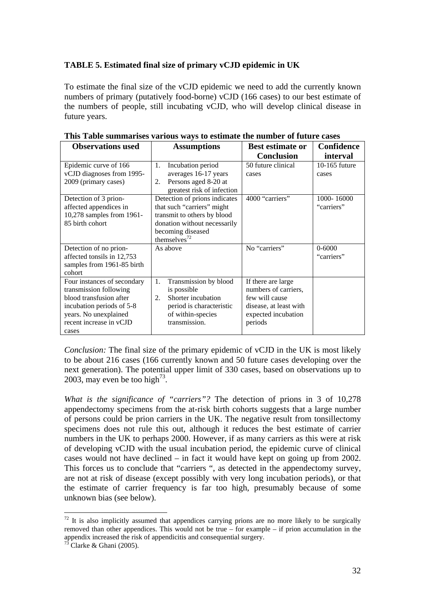#### **TABLE 5. Estimated final size of primary vCJD epidemic in UK**

To estimate the final size of the vCJD epidemic we need to add the currently known numbers of primary (putatively food-borne) vCJD (166 cases) to our best estimate of the numbers of people, still incubating vCJD, who will develop clinical disease in future years.

| <b>Observations used</b>    | <b>Assumptions</b>            | <b>Best estimate or</b> | <b>Confidence</b> |  |
|-----------------------------|-------------------------------|-------------------------|-------------------|--|
|                             |                               | <b>Conclusion</b>       | interval          |  |
| Epidemic curve of 166       | Incubation period<br>1.       | 50 future clinical      | 10-165 future     |  |
| vCJD diagnoses from 1995-   | averages 16-17 years          | cases                   | cases             |  |
| 2009 (primary cases)        | Persons aged 8-20 at<br>2.    |                         |                   |  |
|                             | greatest risk of infection    |                         |                   |  |
| Detection of 3 prion-       | Detection of prions indicates | 4000 "carriers"         | 1000-16000        |  |
| affected appendices in      | that such "carriers" might    |                         | "carriers"        |  |
| 10,278 samples from 1961-   | transmit to others by blood   |                         |                   |  |
| 85 birth cohort             | donation without necessarily  |                         |                   |  |
|                             | becoming diseased             |                         |                   |  |
|                             | themselves <sup>72</sup>      |                         |                   |  |
| Detection of no prion-      | As above                      | No "carriers"           | $0 - 6000$        |  |
| affected tonsils in 12,753  |                               |                         | "carriers"        |  |
| samples from 1961-85 birth  |                               |                         |                   |  |
| cohort                      |                               |                         |                   |  |
| Four instances of secondary | Transmission by blood<br>1.   | If there are large      |                   |  |
| transmission following      | is possible                   | numbers of carriers,    |                   |  |
| blood transfusion after     | Shorter incubation<br>2.      | few will cause          |                   |  |
| incubation periods of 5-8   | period is characteristic      | disease, at least with  |                   |  |
| years. No unexplained       | of within-species             | expected incubation     |                   |  |
| recent increase in vCJD     | transmission.                 | periods                 |                   |  |
| cases                       |                               |                         |                   |  |

|  | This Table summarises various ways to estimate the number of future cases |  |  |  |  |
|--|---------------------------------------------------------------------------|--|--|--|--|
|  |                                                                           |  |  |  |  |

*Conclusion:* The final size of the primary epidemic of vCJD in the UK is most likely to be about 216 cases (166 currently known and 50 future cases developing over the next generation). The potential upper limit of 330 cases, based on observations up to 2003, may even be too high<sup>73</sup>.

*What is the significance of "carriers"?* The detection of prions in 3 of 10,278 appendectomy specimens from the at-risk birth cohorts suggests that a large number of persons could be prion carriers in the UK. The negative result from tonsillectomy specimens does not rule this out, although it reduces the best estimate of carrier numbers in the UK to perhaps 2000. However, if as many carriers as this were at risk of developing vCJD with the usual incubation period, the epidemic curve of clinical cases would not have declined – in fact it would have kept on going up from 2002. This forces us to conclude that "carriers ", as detected in the appendectomy survey, are not at risk of disease (except possibly with very long incubation periods), or that the estimate of carrier frequency is far too high, presumably because of some unknown bias (see below).

 $72$  It is also implicitly assumed that appendices carrying prions are no more likely to be surgically removed than other appendices. This would not be true – for example – if prion accumulation in the appendix increased the risk of appendicitis and consequential surgery.

 $^{75}$  Clarke & Ghani (2005).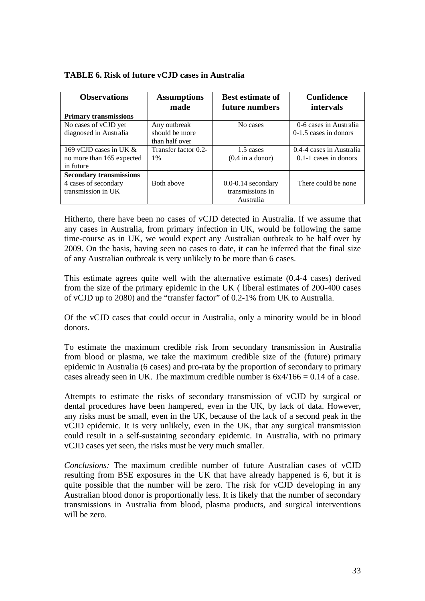| <b>Observations</b>            | <b>Assumptions</b><br>made | <b>Best estimate of</b><br>future numbers | Confidence<br>intervals  |
|--------------------------------|----------------------------|-------------------------------------------|--------------------------|
| <b>Primary transmissions</b>   |                            |                                           |                          |
| No cases of vCJD yet           | Any outbreak               | No cases                                  | 0-6 cases in Australia   |
| diagnosed in Australia         | should be more             |                                           | $0-1.5$ cases in donors  |
|                                | than half over             |                                           |                          |
| 169 vCJD cases in UK $\&$      | Transfer factor 0.2-       | 1.5 cases                                 | 0.4-4 cases in Australia |
| no more than 165 expected      | 1%                         | $(0.4$ in a donor)                        | $0.1-1$ cases in donors  |
| in future                      |                            |                                           |                          |
| <b>Secondary transmissions</b> |                            |                                           |                          |
| 4 cases of secondary           | Both above                 | $0.0 - 0.14$ secondary                    | There could be none      |
| transmission in UK             |                            | transmissions in                          |                          |
|                                |                            | Australia                                 |                          |

#### **TABLE 6. Risk of future vCJD cases in Australia**

Hitherto, there have been no cases of vCJD detected in Australia. If we assume that any cases in Australia, from primary infection in UK, would be following the same time-course as in UK, we would expect any Australian outbreak to be half over by 2009. On the basis, having seen no cases to date, it can be inferred that the final size of any Australian outbreak is very unlikely to be more than 6 cases.

This estimate agrees quite well with the alternative estimate (0.4-4 cases) derived from the size of the primary epidemic in the UK ( liberal estimates of 200-400 cases of vCJD up to 2080) and the "transfer factor" of 0.2-1% from UK to Australia.

Of the vCJD cases that could occur in Australia, only a minority would be in blood donors.

To estimate the maximum credible risk from secondary transmission in Australia from blood or plasma, we take the maximum credible size of the (future) primary epidemic in Australia (6 cases) and pro-rata by the proportion of secondary to primary cases already seen in UK. The maximum credible number is  $6x4/166 = 0.14$  of a case.

Attempts to estimate the risks of secondary transmission of vCJD by surgical or dental procedures have been hampered, even in the UK, by lack of data. However, any risks must be small, even in the UK, because of the lack of a second peak in the vCJD epidemic. It is very unlikely, even in the UK, that any surgical transmission could result in a self-sustaining secondary epidemic. In Australia, with no primary vCJD cases yet seen, the risks must be very much smaller.

*Conclusions:* The maximum credible number of future Australian cases of vCJD resulting from BSE exposures in the UK that have already happened is 6, but it is quite possible that the number will be zero. The risk for vCJD developing in any Australian blood donor is proportionally less. It is likely that the number of secondary transmissions in Australia from blood, plasma products, and surgical interventions will be zero.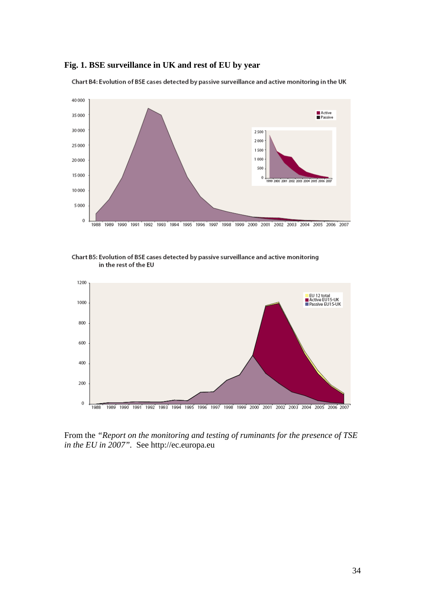#### **Fig. 1. BSE surveillance in UK and rest of EU by year**

Chart B4: Evolution of BSE cases detected by passive surveillance and active monitoring in the UK



Chart B5: Evolution of BSE cases detected by passive surveillance and active monitoring in the rest of the EU



From the *"Report on the monitoring and testing of ruminants for the presence of TSE in the EU in 2007".* See http://ec.europa.eu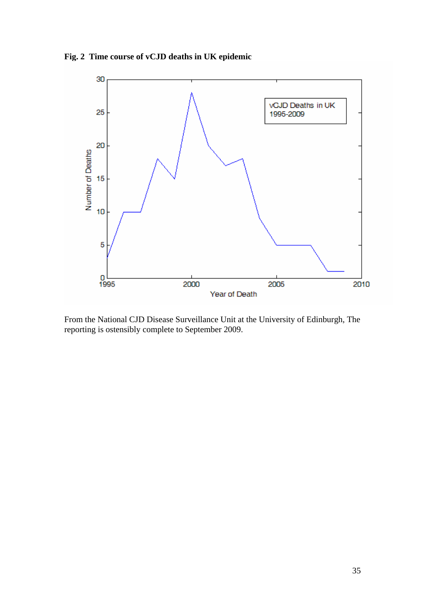**Fig. 2 Time course of vCJD deaths in UK epidemic**



From the National CJD Disease Surveillance Unit at the University of Edinburgh, The reporting is ostensibly complete to September 2009.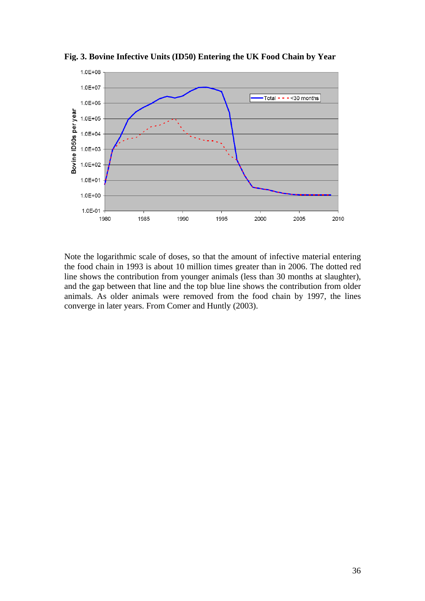

**Fig. 3. Bovine Infective Units (ID50) Entering the UK Food Chain by Year** 

Note the logarithmic scale of doses, so that the amount of infective material entering the food chain in 1993 is about 10 million times greater than in 2006. The dotted red line shows the contribution from younger animals (less than 30 months at slaughter), and the gap between that line and the top blue line shows the contribution from older animals. As older animals were removed from the food chain by 1997, the lines converge in later years. From Comer and Huntly (2003).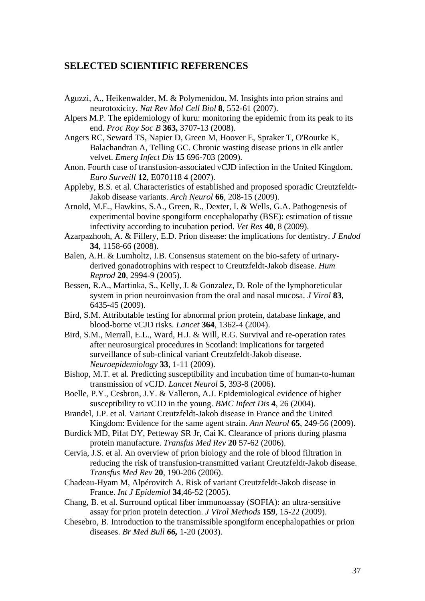#### **SELECTED SCIENTIFIC REFERENCES**

- Aguzzi, A., Heikenwalder, M. & Polymenidou, M. Insights into prion strains and neurotoxicity. *Nat Rev Mol Cell Biol* **8**, 552-61 (2007).
- Alpers M.P. The epidemiology of kuru: monitoring the epidemic from its peak to its end. *Proc Roy Soc B* **363,** 3707-13 (2008).
- Angers RC, Seward TS, Napier D, Green M, Hoover E, Spraker T, O'Rourke K, Balachandran A, Telling GC. Chronic wasting disease prions in elk antler velvet. *Emerg Infect Dis* **15** 696-703 (2009).
- Anon. Fourth case of transfusion-associated vCJD infection in the United Kingdom. *Euro Surveill* **12**, E070118 4 (2007).
- Appleby, B.S. et al. Characteristics of established and proposed sporadic Creutzfeldt-Jakob disease variants. *Arch Neurol* **66**, 208-15 (2009).
- Arnold, M.E., Hawkins, S.A., Green, R., Dexter, I. & Wells, G.A. Pathogenesis of experimental bovine spongiform encephalopathy (BSE): estimation of tissue infectivity according to incubation period. *Vet Res* **40**, 8 (2009).
- Azarpazhooh, A. & Fillery, E.D. Prion disease: the implications for dentistry. *J Endod* **34**, 1158-66 (2008).
- Balen, A.H. & Lumholtz, I.B. Consensus statement on the bio-safety of urinaryderived gonadotrophins with respect to Creutzfeldt-Jakob disease. *Hum Reprod* **20**, 2994-9 (2005).
- Bessen, R.A., Martinka, S., Kelly, J. & Gonzalez, D. Role of the lymphoreticular system in prion neuroinvasion from the oral and nasal mucosa. *J Virol* **83**, 6435-45 (2009).
- Bird, S.M. Attributable testing for abnormal prion protein, database linkage, and blood-borne vCJD risks. *Lancet* **364**, 1362-4 (2004).
- Bird, S.M., Merrall, E.L., Ward, H.J. & Will, R.G. Survival and re-operation rates after neurosurgical procedures in Scotland: implications for targeted surveillance of sub-clinical variant Creutzfeldt-Jakob disease. *Neuroepidemiology* **33**, 1-11 (2009).
- Bishop, M.T. et al. Predicting susceptibility and incubation time of human-to-human transmission of vCJD. *Lancet Neurol* **5**, 393-8 (2006).
- Boelle, P.Y., Cesbron, J.Y. & Valleron, A.J. Epidemiological evidence of higher susceptibility to vCJD in the young. *BMC Infect Dis* **4**, 26 (2004).
- Brandel, J.P. et al. Variant Creutzfeldt-Jakob disease in France and the United Kingdom: Evidence for the same agent strain. *Ann Neurol* **65**, 249-56 (2009).
- Burdick MD, Pifat DY, Petteway SR Jr, Cai K. Clearance of prions during plasma protein manufacture. *Transfus Med Rev* **20** 57-62 (2006).
- Cervia, J.S. et al. An overview of prion biology and the role of blood filtration in reducing the risk of transfusion-transmitted variant Creutzfeldt-Jakob disease. *Transfus Med Rev* **20**, 190-206 (2006).
- Chadeau-Hyam M, Alpérovitch A. Risk of variant Creutzfeldt-Jakob disease in France. *Int J Epidemiol* **34**,46-52 (2005).
- Chang, B. et al. Surround optical fiber immunoassay (SOFIA): an ultra-sensitive assay for prion protein detection. *J Virol Methods* **159**, 15-22 (2009).
- Chesebro, B. Introduction to the transmissible spongiform encephalopathies or prion diseases. *Br Med Bull 66,* 1-20 (2003).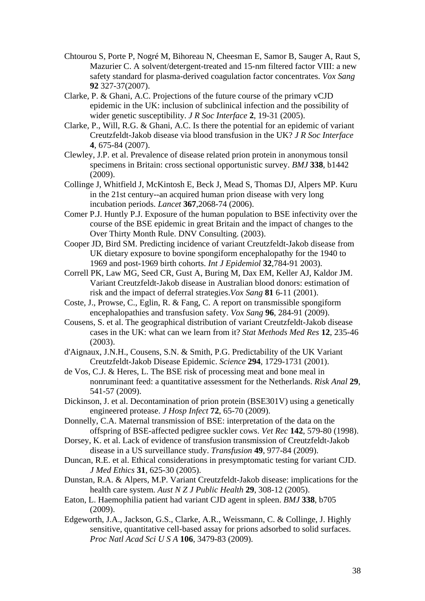- Chtourou S, Porte P, Nogré M, Bihoreau N, Cheesman E, Samor B, Sauger A, Raut S, Mazurier C. A solvent/detergent-treated and 15-nm filtered factor VIII: a new safety standard for plasma-derived coagulation factor concentrates. *Vox Sang*  **92** 327-37(2007).
- Clarke, P. & Ghani, A.C. Projections of the future course of the primary vCJD epidemic in the UK: inclusion of subclinical infection and the possibility of wider genetic susceptibility. *J R Soc Interface* **2**, 19-31 (2005).
- Clarke, P., Will, R.G. & Ghani, A.C. Is there the potential for an epidemic of variant Creutzfeldt-Jakob disease via blood transfusion in the UK? *J R Soc Interface* **4**, 675-84 (2007).
- Clewley, J.P. et al. Prevalence of disease related prion protein in anonymous tonsil specimens in Britain: cross sectional opportunistic survey. *BMJ* **338**, b1442 (2009).
- Collinge J, Whitfield J, McKintosh E, Beck J, Mead S, Thomas DJ, Alpers MP. Kuru in the 21st century--an acquired human prion disease with very long incubation periods. *Lancet* **367**,2068-74 (2006).
- Comer P.J. Huntly P.J. Exposure of the human population to BSE infectivity over the course of the BSE epidemic in great Britain and the impact of changes to the Over Thirty Month Rule. DNV Consulting. (2003).
- Cooper JD, Bird SM. Predicting incidence of variant Creutzfeldt-Jakob disease from UK dietary exposure to bovine spongiform encephalopathy for the 1940 to 1969 and post-1969 birth cohorts. *Int J Epidemiol* **32**,784-91 2003).
- Correll PK, Law MG, Seed CR, Gust A, Buring M, Dax EM, Keller AJ, Kaldor JM. Variant Creutzfeldt-Jakob disease in Australian blood donors: estimation of risk and the impact of deferral strategies.*Vox Sang* **81** 6-11 (2001).
- Coste, J., Prowse, C., Eglin, R. & Fang, C. A report on transmissible spongiform encephalopathies and transfusion safety. *Vox Sang* **96**, 284-91 (2009).
- Cousens, S. et al. The geographical distribution of variant Creutzfeldt-Jakob disease cases in the UK: what can we learn from it? *Stat Methods Med Res* **12**, 235-46 (2003).
- d'Aignaux, J.N.H., Cousens, S.N. & Smith, P.G. Predictability of the UK Variant Creutzfeldt-Jakob Disease Epidemic. *Science* **294**, 1729-1731 (2001).
- de Vos, C.J. & Heres, L. The BSE risk of processing meat and bone meal in nonruminant feed: a quantitative assessment for the Netherlands. *Risk Anal* **29**, 541-57 (2009).
- Dickinson, J. et al. Decontamination of prion protein (BSE301V) using a genetically engineered protease. *J Hosp Infect* **72**, 65-70 (2009).
- Donnelly, C.A. Maternal transmission of BSE: interpretation of the data on the offspring of BSE-affected pedigree suckler cows. *Vet Rec* **142**, 579-80 (1998).
- Dorsey, K. et al. Lack of evidence of transfusion transmission of Creutzfeldt-Jakob disease in a US surveillance study. *Transfusion* **49**, 977-84 (2009).
- Duncan, R.E. et al. Ethical considerations in presymptomatic testing for variant CJD. *J Med Ethics* **31**, 625-30 (2005).
- Dunstan, R.A. & Alpers, M.P. Variant Creutzfeldt-Jakob disease: implications for the health care system. *Aust N Z J Public Health* **29**, 308-12 (2005).
- Eaton, L. Haemophilia patient had variant CJD agent in spleen. *BMJ* **338**, b705 (2009).
- Edgeworth, J.A., Jackson, G.S., Clarke, A.R., Weissmann, C. & Collinge, J. Highly sensitive, quantitative cell-based assay for prions adsorbed to solid surfaces. *Proc Natl Acad Sci U S A* **106**, 3479-83 (2009).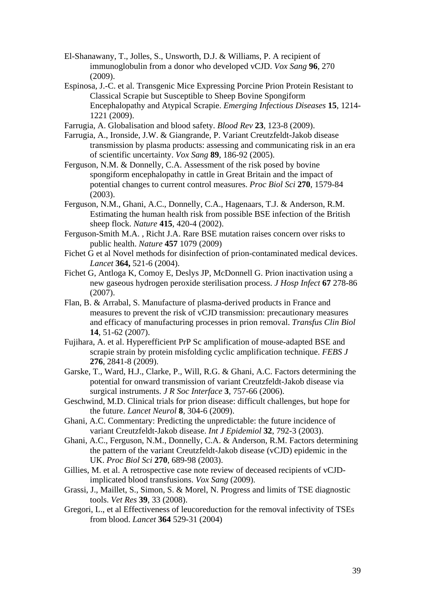- El-Shanawany, T., Jolles, S., Unsworth, D.J. & Williams, P. A recipient of immunoglobulin from a donor who developed vCJD. *Vox Sang* **96**, 270 (2009).
- Espinosa, J.-C. et al. Transgenic Mice Expressing Porcine Prion Protein Resistant to Classical Scrapie but Susceptible to Sheep Bovine Spongiform Encephalopathy and Atypical Scrapie. *Emerging Infectious Diseases* **15**, 1214- 1221 (2009).
- Farrugia, A. Globalisation and blood safety. *Blood Rev* **23**, 123-8 (2009).
- Farrugia, A., Ironside, J.W. & Giangrande, P. Variant Creutzfeldt-Jakob disease transmission by plasma products: assessing and communicating risk in an era of scientific uncertainty. *Vox Sang* **89**, 186-92 (2005).
- Ferguson, N.M. & Donnelly, C.A. Assessment of the risk posed by bovine spongiform encephalopathy in cattle in Great Britain and the impact of potential changes to current control measures. *Proc Biol Sci* **270**, 1579-84 (2003).
- Ferguson, N.M., Ghani, A.C., Donnelly, C.A., Hagenaars, T.J. & Anderson, R.M. Estimating the human health risk from possible BSE infection of the British sheep flock. *Nature* **415**, 420-4 (2002).
- Ferguson-Smith M.A. , Richt J.A. Rare BSE mutation raises concern over risks to public health. *Nature* **457** 1079 (2009)
- Fichet G et al Novel methods for disinfection of prion-contaminated medical devices. *Lancet* **364,** 521-6 (2004).
- Fichet G, Antloga K, Comoy E, Deslys JP, McDonnell G. Prion inactivation using a new gaseous hydrogen peroxide sterilisation process. *J Hosp Infect* **67** 278-86 (2007).
- Flan, B. & Arrabal, S. Manufacture of plasma-derived products in France and measures to prevent the risk of vCJD transmission: precautionary measures and efficacy of manufacturing processes in prion removal. *Transfus Clin Biol* **14**, 51-62 (2007).
- Fujihara, A. et al. Hyperefficient PrP Sc amplification of mouse-adapted BSE and scrapie strain by protein misfolding cyclic amplification technique. *FEBS J* **276**, 2841-8 (2009).
- Garske, T., Ward, H.J., Clarke, P., Will, R.G. & Ghani, A.C. Factors determining the potential for onward transmission of variant Creutzfeldt-Jakob disease via surgical instruments. *J R Soc Interface* **3**, 757-66 (2006).
- Geschwind, M.D. Clinical trials for prion disease: difficult challenges, but hope for the future. *Lancet Neurol* **8**, 304-6 (2009).
- Ghani, A.C. Commentary: Predicting the unpredictable: the future incidence of variant Creutzfeldt-Jakob disease. *Int J Epidemiol* **32**, 792-3 (2003).
- Ghani, A.C., Ferguson, N.M., Donnelly, C.A. & Anderson, R.M. Factors determining the pattern of the variant Creutzfeldt-Jakob disease (vCJD) epidemic in the UK. *Proc Biol Sci* **270**, 689-98 (2003).
- Gillies, M. et al. A retrospective case note review of deceased recipients of vCJDimplicated blood transfusions. *Vox Sang* (2009).
- Grassi, J., Maillet, S., Simon, S. & Morel, N. Progress and limits of TSE diagnostic tools. *Vet Res* **39**, 33 (2008).
- Gregori, L., et al Effectiveness of leucoreduction for the removal infectivity of TSEs from blood. *Lancet* **364** 529-31 (2004)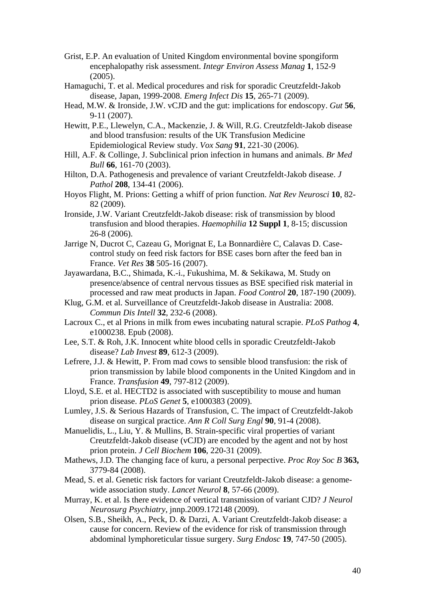- Grist, E.P. An evaluation of United Kingdom environmental bovine spongiform encephalopathy risk assessment. *Integr Environ Assess Manag* **1**, 152-9 (2005).
- Hamaguchi, T. et al. Medical procedures and risk for sporadic Creutzfeldt-Jakob disease, Japan, 1999-2008. *Emerg Infect Dis* **15**, 265-71 (2009).
- Head, M.W. & Ironside, J.W. vCJD and the gut: implications for endoscopy. *Gut* **56**, 9-11 (2007).
- Hewitt, P.E., Llewelyn, C.A., Mackenzie, J. & Will, R.G. Creutzfeldt-Jakob disease and blood transfusion: results of the UK Transfusion Medicine Epidemiological Review study. *Vox Sang* **91**, 221-30 (2006).
- Hill, A.F. & Collinge, J. Subclinical prion infection in humans and animals. *Br Med Bull* **66**, 161-70 (2003).
- Hilton, D.A. Pathogenesis and prevalence of variant Creutzfeldt-Jakob disease. *J Pathol* **208**, 134-41 (2006).
- Hoyos Flight, M. Prions: Getting a whiff of prion function. *Nat Rev Neurosci* **10**, 82- 82 (2009).
- Ironside, J.W. Variant Creutzfeldt-Jakob disease: risk of transmission by blood transfusion and blood therapies. *Haemophilia* **12 Suppl 1**, 8-15; discussion 26-8 (2006).
- Jarrige N, Ducrot C, Cazeau G, Morignat E, La Bonnardière C, Calavas D. Casecontrol study on feed risk factors for BSE cases born after the feed ban in France. *Vet Res* **38** 505-16 (2007).
- Jayawardana, B.C., Shimada, K.-i., Fukushima, M. & Sekikawa, M. Study on presence/absence of central nervous tissues as BSE specified risk material in processed and raw meat products in Japan. *Food Control* **20**, 187-190 (2009).
- Klug, G.M. et al. Surveillance of Creutzfeldt-Jakob disease in Australia: 2008. *Commun Dis Intell* **32**, 232-6 (2008).
- Lacroux C., et al Prions in milk from ewes incubating natural scrapie. *PLoS Pathog* **4**, e1000238. Epub (2008).
- Lee, S.T. & Roh, J.K. Innocent white blood cells in sporadic Creutzfeldt-Jakob disease? *Lab Invest* **89**, 612-3 (2009).
- Lefrere, J.J. & Hewitt, P. From mad cows to sensible blood transfusion: the risk of prion transmission by labile blood components in the United Kingdom and in France. *Transfusion* **49**, 797-812 (2009).
- Lloyd, S.E. et al. HECTD2 is associated with susceptibility to mouse and human prion disease. *PLoS Genet* **5**, e1000383 (2009).
- Lumley, J.S. & Serious Hazards of Transfusion, C. The impact of Creutzfeldt-Jakob disease on surgical practice. *Ann R Coll Surg Engl* **90**, 91-4 (2008).
- Manuelidis, L., Liu, Y. & Mullins, B. Strain-specific viral properties of variant Creutzfeldt-Jakob disease (vCJD) are encoded by the agent and not by host prion protein. *J Cell Biochem* **106**, 220-31 (2009).
- Mathews, J.D. The changing face of kuru, a personal perpective. *Proc Roy Soc B* **363,**  3779-84 (2008).
- Mead, S. et al. Genetic risk factors for variant Creutzfeldt-Jakob disease: a genomewide association study. *Lancet Neurol* **8**, 57-66 (2009).
- Murray, K. et al. Is there evidence of vertical transmission of variant CJD? *J Neurol Neurosurg Psychiatry*, jnnp.2009.172148 (2009).
- Olsen, S.B., Sheikh, A., Peck, D. & Darzi, A. Variant Creutzfeldt-Jakob disease: a cause for concern. Review of the evidence for risk of transmission through abdominal lymphoreticular tissue surgery. *Surg Endosc* **19**, 747-50 (2005).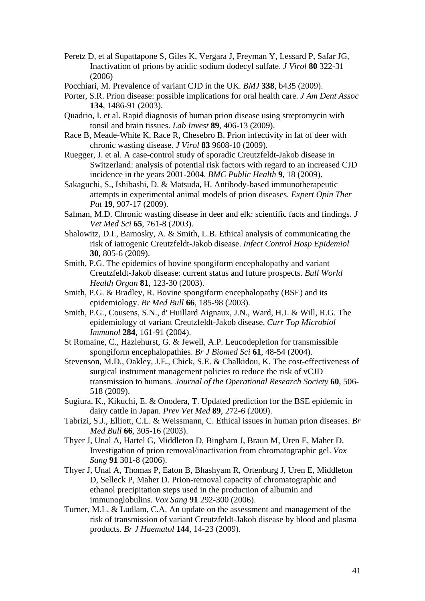- Peretz D, et al Supattapone S, Giles K, Vergara J, Freyman Y, Lessard P, Safar JG, Inactivation of prions by acidic sodium dodecyl sulfate. *J Virol* **80** 322-31 (2006)
- Pocchiari, M. Prevalence of variant CJD in the UK. *BMJ* **338**, b435 (2009).
- Porter, S.R. Prion disease: possible implications for oral health care. *J Am Dent Assoc* **134**, 1486-91 (2003).
- Quadrio, I. et al. Rapid diagnosis of human prion disease using streptomycin with tonsil and brain tissues. *Lab Invest* **89**, 406-13 (2009).
- Race B, Meade-White K, Race R, Chesebro B. Prion infectivity in fat of deer with chronic wasting disease. *J Virol* **83** 9608-10 (2009).
- Ruegger, J. et al. A case-control study of sporadic Creutzfeldt-Jakob disease in Switzerland: analysis of potential risk factors with regard to an increased CJD incidence in the years 2001-2004. *BMC Public Health* **9**, 18 (2009).
- Sakaguchi, S., Ishibashi, D. & Matsuda, H. Antibody-based immunotherapeutic attempts in experimental animal models of prion diseases. *Expert Opin Ther Pat* **19**, 907-17 (2009).
- Salman, M.D. Chronic wasting disease in deer and elk: scientific facts and findings. *J Vet Med Sci* **65**, 761-8 (2003).
- Shalowitz, D.I., Barnosky, A. & Smith, L.B. Ethical analysis of communicating the risk of iatrogenic Creutzfeldt-Jakob disease. *Infect Control Hosp Epidemiol* **30**, 805-6 (2009).
- Smith, P.G. The epidemics of bovine spongiform encephalopathy and variant Creutzfeldt-Jakob disease: current status and future prospects. *Bull World Health Organ* **81**, 123-30 (2003).
- Smith, P.G. & Bradley, R. Bovine spongiform encephalopathy (BSE) and its epidemiology. *Br Med Bull* **66**, 185-98 (2003).
- Smith, P.G., Cousens, S.N., d' Huillard Aignaux, J.N., Ward, H.J. & Will, R.G. The epidemiology of variant Creutzfeldt-Jakob disease. *Curr Top Microbiol Immunol* **284**, 161-91 (2004).
- St Romaine, C., Hazlehurst, G. & Jewell, A.P. Leucodepletion for transmissible spongiform encephalopathies. *Br J Biomed Sci* **61**, 48-54 (2004).
- Stevenson, M.D., Oakley, J.E., Chick, S.E. & Chalkidou, K. The cost-effectiveness of surgical instrument management policies to reduce the risk of vCJD transmission to humans. *Journal of the Operational Research Society* **60**, 506- 518 (2009).
- Sugiura, K., Kikuchi, E. & Onodera, T. Updated prediction for the BSE epidemic in dairy cattle in Japan. *Prev Vet Med* **89**, 272-6 (2009).
- Tabrizi, S.J., Elliott, C.L. & Weissmann, C. Ethical issues in human prion diseases. *Br Med Bull* **66**, 305-16 (2003).
- Thyer J, Unal A, Hartel G, Middleton D, Bingham J, Braun M, Uren E, Maher D. Investigation of prion removal/inactivation from chromatographic gel. *Vox Sang* **91** 301-8 (2006).
- Thyer J, Unal A, Thomas P, Eaton B, Bhashyam R, Ortenburg J, Uren E, Middleton D, Selleck P, Maher D. Prion-removal capacity of chromatographic and ethanol precipitation steps used in the production of albumin and immunoglobulins. *Vox Sang* **91** 292-300 (2006).
- Turner, M.L. & Ludlam, C.A. An update on the assessment and management of the risk of transmission of variant Creutzfeldt-Jakob disease by blood and plasma products. *Br J Haematol* **144**, 14-23 (2009).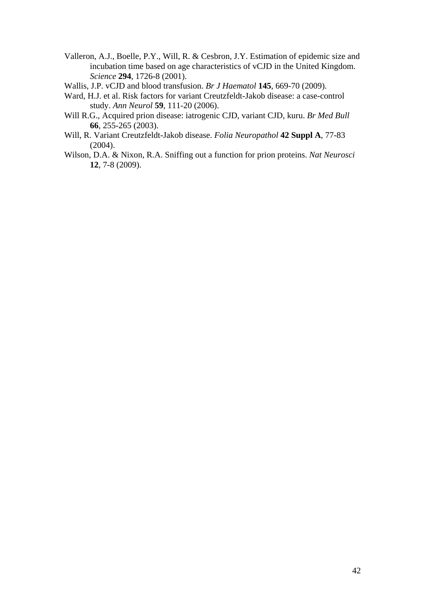- Valleron, A.J., Boelle, P.Y., Will, R. & Cesbron, J.Y. Estimation of epidemic size and incubation time based on age characteristics of vCJD in the United Kingdom. *Science* **294**, 1726-8 (2001).
- Wallis, J.P. vCJD and blood transfusion. *Br J Haematol* **145**, 669-70 (2009).
- Ward, H.J. et al. Risk factors for variant Creutzfeldt-Jakob disease: a case-control study. *Ann Neurol* **59**, 111-20 (2006).
- Will R.G., Acquired prion disease: iatrogenic CJD, variant CJD, kuru. *Br Med Bull*  **66**, 255-265 (2003).
- Will, R. Variant Creutzfeldt-Jakob disease. *Folia Neuropathol* **42 Suppl A**, 77-83  $(2004)$ .
- Wilson, D.A. & Nixon, R.A. Sniffing out a function for prion proteins. *Nat Neurosci* **12**, 7-8 (2009).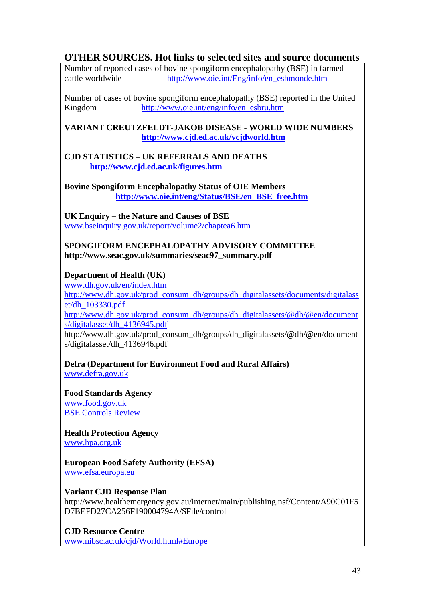# **OTHER SOURCES. Hot links to selected sites and source documents**

Number of reported cases of bovine spongiform encephalopathy (BSE) in farmed cattle worldwide http://www.oie.int/Eng/info/en\_esbmonde.htm

Number of cases of bovine spongiform encephalopathy (BSE) reported in the United Kingdom http://www.oie.int/eng/info/en\_esbru.htm

**VARIANT CREUTZFELDT-JAKOB DISEASE - WORLD WIDE NUMBERS http://www.cjd.ed.ac.uk/vcjdworld.htm**

#### **CJD STATISTICS – UK REFERRALS AND DEATHS http://www.cjd.ed.ac.uk/figures.htm**

**Bovine Spongiform Encephalopathy Status of OIE Members http://www.oie.int/eng/Status/BSE/en\_BSE\_free.htm**

**UK Enquiry – the Nature and Causes of BSE**  www.bseinquiry.gov.uk/report/volume2/chaptea6.htm

#### **SPONGIFORM ENCEPHALOPATHY ADVISORY COMMITTEE http://www.seac.gov.uk/summaries/seac97\_summary.pdf**

# **Department of Health (UK)**

www.dh.gov.uk/en/index.htm http://www.dh.gov.uk/prod\_consum\_dh/groups/dh\_digitalassets/documents/digitalass et/dh\_103330.pdf http://www.dh.gov.uk/prod\_consum\_dh/groups/dh\_digitalassets/@dh/@en/document s/digitalasset/dh\_4136945.pdf

http://www.dh.gov.uk/prod\_consum\_dh/groups/dh\_digitalassets/@dh/@en/document s/digitalasset/dh\_4136946.pdf

**Defra (Department for Environment Food and Rural Affairs)** www.defra.gov.uk

**Food Standards Agency** www.food.gov.uk BSE Controls Review

**Health Protection Agency** www.hpa.org.uk

#### **European Food Safety Authority (EFSA)** www.efsa.europa.eu

**Variant CJD Response Plan** 

http://www.healthemergency.gov.au/internet/main/publishing.nsf/Content/A90C01F5 D7BEFD27CA256F190004794A/\$File/control

**CJD Resource Centre** www.nibsc.ac.uk/cjd/World.html#Europe